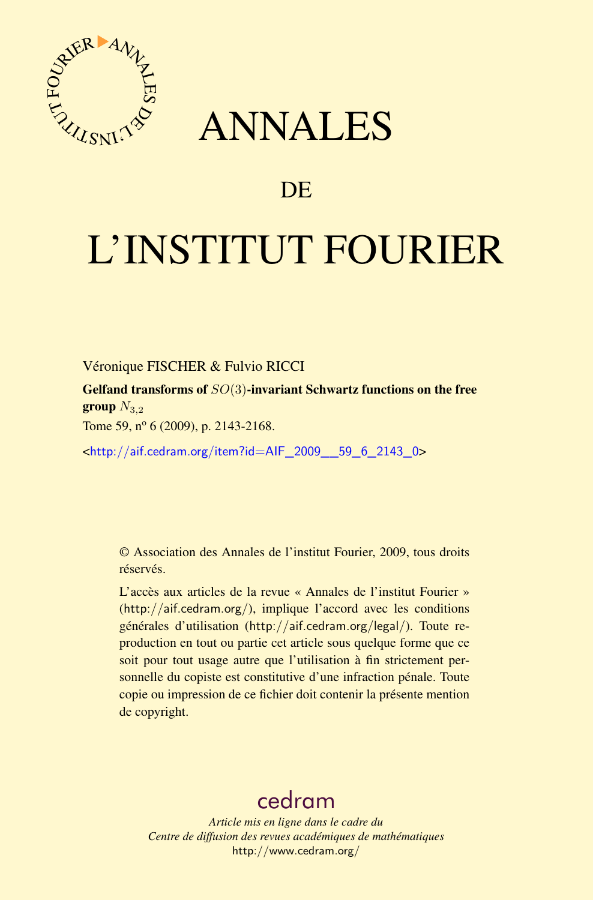

# ANNALES

## **DE**

# L'INSTITUT FOURIER

Véronique FISCHER & Fulvio RICCI

Gelfand transforms of *SO*(3)-invariant Schwartz functions on the free group  $N_{3,2}$ 

Tome 59,  $n^{\circ}$  6 (2009), p. 2143-2168.

<[http://aif.cedram.org/item?id=AIF\\_2009\\_\\_59\\_6\\_2143\\_0](http://aif.cedram.org/item?id=AIF_2009__59_6_2143_0)>

© Association des Annales de l'institut Fourier, 2009, tous droits réservés.

L'accès aux articles de la revue « Annales de l'institut Fourier » (<http://aif.cedram.org/>), implique l'accord avec les conditions générales d'utilisation (<http://aif.cedram.org/legal/>). Toute reproduction en tout ou partie cet article sous quelque forme que ce soit pour tout usage autre que l'utilisation à fin strictement personnelle du copiste est constitutive d'une infraction pénale. Toute copie ou impression de ce fichier doit contenir la présente mention de copyright.

# [cedram](http://www.cedram.org/)

*Article mis en ligne dans le cadre du Centre de diffusion des revues académiques de mathématiques* <http://www.cedram.org/>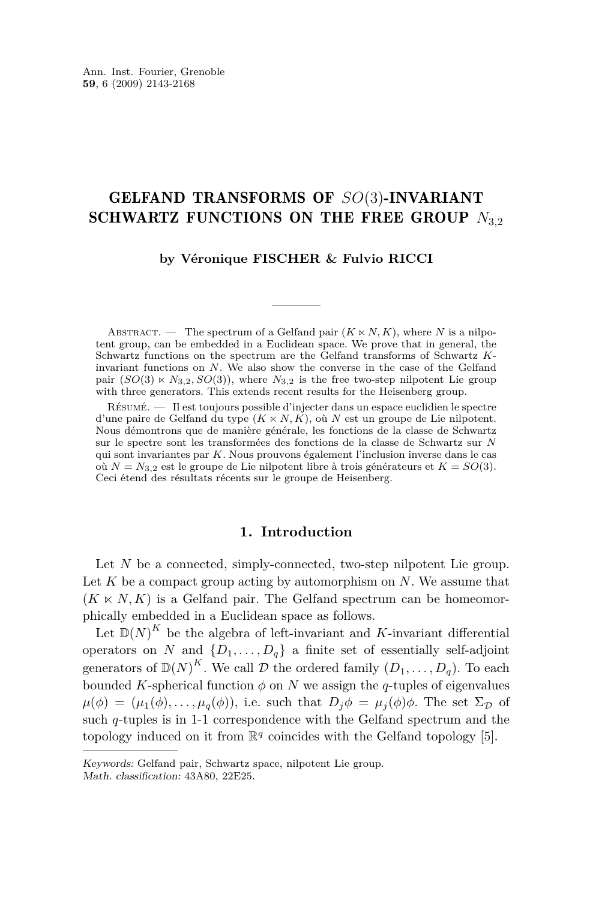## GELFAND TRANSFORMS OF *SO*(3)-INVARIANT SCHWARTZ FUNCTIONS ON THE FREE GROUP  $N_{3,2}$

#### **by Véronique FISCHER & Fulvio RICCI**

ABSTRACT. — The spectrum of a Gelfand pair  $(K \ltimes N, K)$ , where N is a nilpotent group, can be embedded in a Euclidean space. We prove that in general, the Schwartz functions on the spectrum are the Gelfand transforms of Schwartz *K*invariant functions on *N*. We also show the converse in the case of the Gelfand pair  $(SO(3) \ltimes N_{3,2}, SO(3))$ , where  $N_{3,2}$  is the free two-step nilpotent Lie group with three generators. This extends recent results for the Heisenberg group.

Résumé. — Il est toujours possible d'injecter dans un espace euclidien le spectre d'une paire de Gelfand du type  $(K \times N, K)$ , où *N* est un groupe de Lie nilpotent. Nous démontrons que de manière générale, les fonctions de la classe de Schwartz sur le spectre sont les transformées des fonctions de la classe de Schwartz sur *N* qui sont invariantes par *K*. Nous prouvons également l'inclusion inverse dans le cas où  $N = N_{3,2}$  est le groupe de Lie nilpotent libre à trois générateurs et  $K = SO(3)$ . Ceci étend des résultats récents sur le groupe de Heisenberg.

#### **1. Introduction**

Let *N* be a connected, simply-connected, two-step nilpotent Lie group. Let  $K$  be a compact group acting by automorphism on  $N$ . We assume that  $(K \ltimes N, K)$  is a Gelfand pair. The Gelfand spectrum can be homeomorphically embedded in a Euclidean space as follows.

Let  $\mathbb{D}(N)^K$  be the algebra of left-invariant and *K*-invariant differential operators on *N* and  $\{D_1, \ldots, D_q\}$  a finite set of essentially self-adjoint generators of  $\mathbb{D}(N)^K$ . We call  $\mathcal D$  the ordered family  $(D_1, \ldots, D_q)$ . To each bounded *K*-spherical function  $\phi$  on *N* we assign the *q*-tuples of eigenvalues  $\mu(\phi) = (\mu_1(\phi), \ldots, \mu_q(\phi)),$  i.e. such that  $D_i\phi = \mu_i(\phi)\phi$ . The set  $\Sigma_{\mathcal{D}}$  of such *q*-tuples is in 1-1 correspondence with the Gelfand spectrum and the topology induced on it from  $\mathbb{R}^q$  coincides with the Gelfand topology [\[5\]](#page-26-0).

Keywords: Gelfand pair, Schwartz space, nilpotent Lie group.

Math. classification: 43A80, 22E25.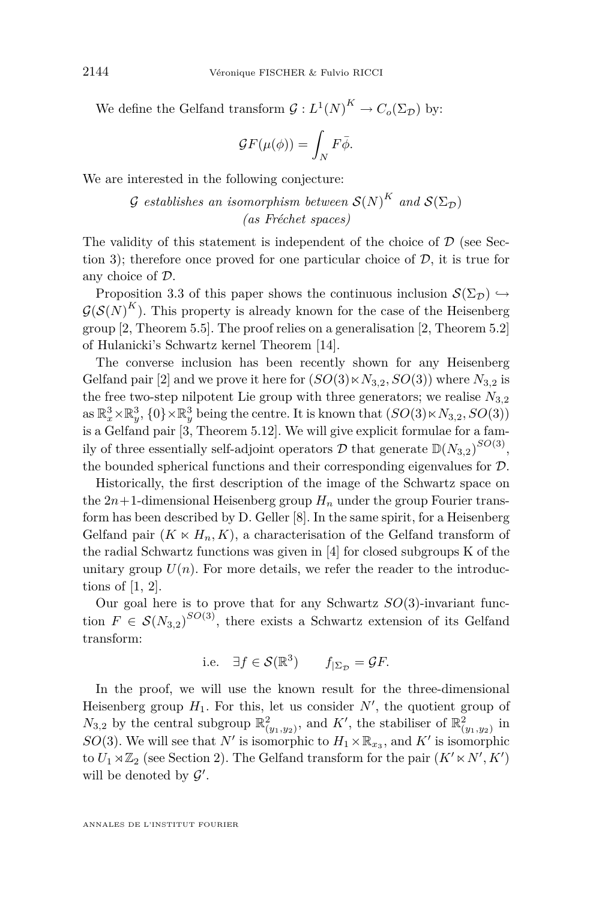We define the Gelfand transform  $G: L^1(N)^K \to C_o(\Sigma_{\mathcal{D}})$  by:

$$
\mathcal{G}F(\mu(\phi)) = \int_N F\bar{\phi}.
$$

We are interested in the following conjecture:

 $G$  *establishes an isomorphism between*  $\mathcal{S}(N)^K$  *and*  $\mathcal{S}(\Sigma_{\mathcal{D}})$ *(as Fréchet spaces)*

The validity of this statement is independent of the choice of *D* (see Sec-tion [3\)](#page-6-0); therefore once proved for one particular choice of  $D$ , it is true for any choice of *D*.

Proposition [3.3](#page-8-0) of this paper shows the continuous inclusion  $\mathcal{S}(\Sigma_{\mathcal{D}}) \hookrightarrow$  $G(S(N)^K)$ . This property is already known for the case of the Heisenberg group [\[2,](#page-26-0) Theorem 5.5]. The proof relies on a generalisation [\[2,](#page-26-0) Theorem 5.2] of Hulanicki's Schwartz kernel Theorem [\[14\]](#page-26-0).

The converse inclusion has been recently shown for any Heisenberg Gelfand pair [\[2\]](#page-26-0) and we prove it here for  $(SO(3) \ltimes N_{3,2}, SO(3))$  where  $N_{3,2}$  is the free two-step nilpotent Lie group with three generators; we realise  $N_{3,2}$ as  $\mathbb{R}_x^3 \times \mathbb{R}_y^3$ ,  $\{0\} \times \mathbb{R}_y^3$  being the centre. It is known that  $(SO(3) \times N_{3,2}, SO(3))$ is a Gelfand pair [\[3,](#page-26-0) Theorem 5.12]. We will give explicit formulae for a family of three essentially self-adjoint operators  $D$  that generate  $\mathbb{D}(N_{3,2})^{SO(3)}$ , the bounded spherical functions and their corresponding eigenvalues for *D*.

Historically, the first description of the image of the Schwartz space on the  $2n+1$ -dimensional Heisenberg group  $H_n$  under the group Fourier transform has been described by D. Geller [\[8\]](#page-26-0). In the same spirit, for a Heisenberg Gelfand pair  $(K \ltimes H_n, K)$ , a characterisation of the Gelfand transform of the radial Schwartz functions was given in [\[4\]](#page-26-0) for closed subgroups K of the unitary group  $U(n)$ . For more details, we refer the reader to the introductions of [\[1,](#page-26-0) [2\]](#page-26-0).

Our goal here is to prove that for any Schwartz *SO*(3)-invariant function  $F \in \mathcal{S}(N_{3,2})^{SO(3)}$ , there exists a Schwartz extension of its Gelfand transform:

i.e. 
$$
\exists f \in \mathcal{S}(\mathbb{R}^3)
$$
  $f_{|\Sigma_{\mathcal{D}}} = \mathcal{G}F$ .

In the proof, we will use the known result for the three-dimensional Heisenberg group  $H_1$ . For this, let us consider  $N'$ , the quotient group of  $N_{3,2}$  by the central subgroup  $\mathbb{R}^2_{(y_1,y_2)}$ , and  $K'$ , the stabiliser of  $\mathbb{R}^2_{(y_1,y_2)}$  in *SO*(3). We will see that *N'* is isomorphic to  $H_1 \times \mathbb{R}_{x_3}$ , and *K'* is isomorphic to  $U_1 \rtimes \mathbb{Z}_2$  (see Section [2\)](#page-3-0). The Gelfand transform for the pair  $(K' \ltimes N', K')$ will be denoted by  $\mathcal{G}'$ .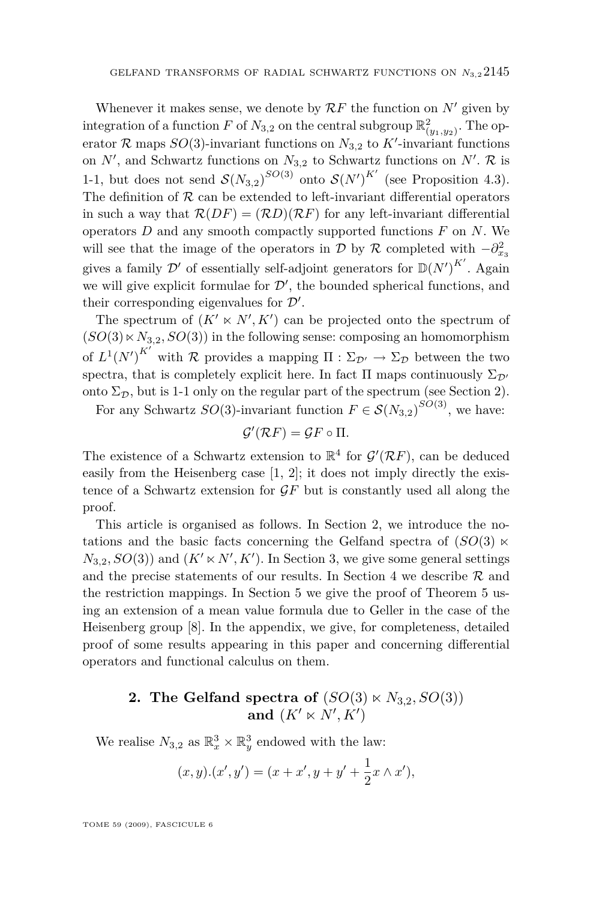<span id="page-3-0"></span>Whenever it makes sense, we denote by  $\mathcal{R}F$  the function on  $N'$  given by integration of a function *F* of  $N_{3,2}$  on the central subgroup  $\mathbb{R}^2_{(y_1,y_2)}$ . The operator  $\mathcal{R}$  maps  $SO(3)$ -invariant functions on  $N_{3,2}$  to  $K'$ -invariant functions on  $N'$ , and Schwartz functions on  $N_{3,2}$  to Schwartz functions on  $N'$ .  $\mathcal{R}$  is 1-1, but does not send  $S(N_{3,2})^{SO(3)}$  onto  $S(N')^{K'}$  (see Proposition [4.3\)](#page-13-0). The definition of  $R$  can be extended to left-invariant differential operators in such a way that  $\mathcal{R}(DF) = (\mathcal{R}D)(\mathcal{R}F)$  for any left-invariant differential operators *D* and any smooth compactly supported functions *F* on *N*. We will see that the image of the operators in *D* by *R* completed with  $-\partial_{x_3}^2$ gives a family  $\mathcal{D}'$  of essentially self-adjoint generators for  $\mathbb{D}(N')^{K'}$ . Again we will give explicit formulae for  $\mathcal{D}'$ , the bounded spherical functions, and their corresponding eigenvalues for  $\mathcal{D}'$ .

The spectrum of  $(K' \ltimes N', K')$  can be projected onto the spectrum of  $(SO(3) \ltimes N_{3,2}, SO(3))$  in the following sense: composing an homomorphism of  $L^1(N')^{K'}$  with *R* provides a mapping  $\Pi : \Sigma_{\mathcal{D}'} \to \Sigma_{\mathcal{D}}$  between the two spectra, that is completely explicit here. In fact  $\Pi$  maps continuously  $\Sigma_{\mathcal{D}}$ *<sup><i>n*</sup></sup> onto  $\Sigma_{\mathcal{D}}$ , but is 1-1 only on the regular part of the spectrum (see Section 2).

For any Schwartz  $SO(3)$ -invariant function  $F \in \mathcal{S}(N_{3,2})^{SO(3)}$ , we have:

$$
\mathcal{G}'(\mathcal{R}F) = \mathcal{G}F \circ \Pi.
$$

The existence of a Schwartz extension to  $\mathbb{R}^4$  for  $\mathcal{G}'(\mathcal{R}F)$ , can be deduced easily from the Heisenberg case [\[1,](#page-26-0) [2\]](#page-26-0); it does not imply directly the existence of a Schwartz extension for *GF* but is constantly used all along the proof.

This article is organised as follows. In Section 2, we introduce the notations and the basic facts concerning the Gelfand spectra of  $(SO(3) \times$  $N_{3,2}$  $N_{3,2}$  $N_{3,2}$ ,  $SO(3)$  and  $(K' \times N', K')$ . In Section 3, we give some general settings and the precise statements of our results. In Section 4 we describe  $R$  and the restriction mappings. In Section 5 we give the proof of Theorem 5 using an extension of a mean value formula due to Geller in the case of the Heisenberg group [\[8\]](#page-26-0). In the appendix, we give, for completeness, detailed proof of some results appearing in this paper and concerning differential operators and functional calculus on them.

### **2.** The Gelfand spectra of  $(SO(3) \ltimes N_{3,2}, SO(3))$ and  $(K' \ltimes N', K')$

We realise  $N_{3,2}$  as  $\mathbb{R}^3_x \times \mathbb{R}^3_y$  endowed with the law:

$$
(x, y) \cdot (x', y') = (x + x', y + y' + \frac{1}{2}x \wedge x'),
$$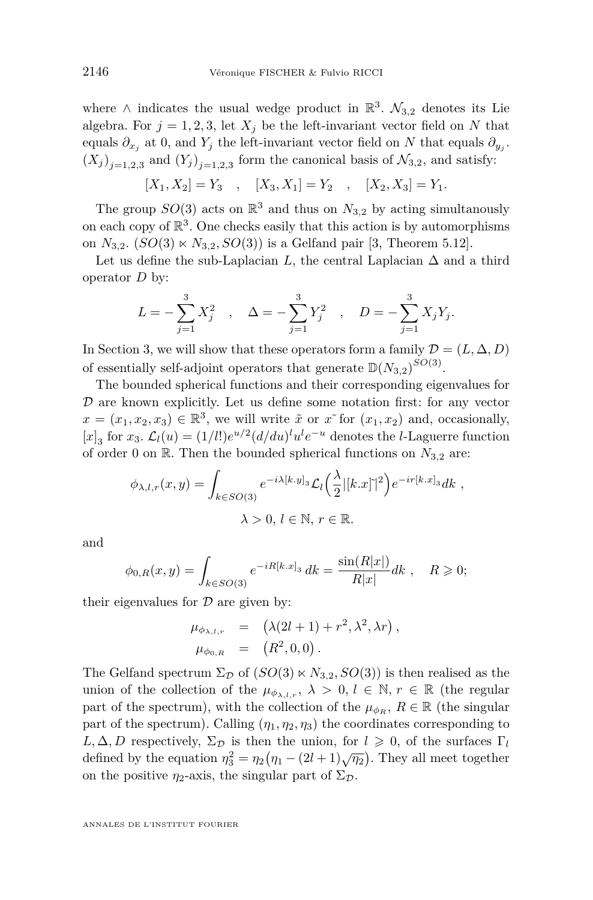where  $\land$  indicates the usual wedge product in  $\mathbb{R}^3$ .  $\mathcal{N}_{3,2}$  denotes its Lie algebra. For  $j = 1, 2, 3$ , let  $X_j$  be the left-invariant vector field on N that equals  $\partial_{x_j}$  at 0, and  $Y_j$  the left-invariant vector field on  $N$  that equals  $\partial_{y_j}$ .  $(X_j)_{j=1,2,3}$  and  $(Y_j)_{j=1,2,3}$  form the canonical basis of  $\mathcal{N}_{3,2}$ , and satisfy:

$$
[X_1, X_2] = Y_3 \quad , \quad [X_3, X_1] = Y_2 \quad , \quad [X_2, X_3] = Y_1.
$$

The group  $SO(3)$  acts on  $\mathbb{R}^3$  and thus on  $N_{3,2}$  by acting simultanously on each copy of  $\mathbb{R}^3$ . One checks easily that this action is by automorphisms on  $N_{3,2}$ .  $(SO(3) \ltimes N_{3,2}, SO(3))$  is a Gelfand pair [\[3,](#page-26-0) Theorem 5.12].

Let us define the sub-Laplacian *L*, the central Laplacian  $\Delta$  and a third operator *D* by:

$$
L = -\sum_{j=1}^{3} X_j^2 \quad , \quad \Delta = -\sum_{j=1}^{3} Y_j^2 \quad , \quad D = -\sum_{j=1}^{3} X_j Y_j.
$$

In Section [3,](#page-6-0) we will show that these operators form a family  $\mathcal{D} = (L, \Delta, D)$ of essentially self-adjoint operators that generate  $\mathbb{D}(N_{3,2})^{SO(3)}$ .

The bounded spherical functions and their corresponding eigenvalues for *D* are known explicitly. Let us define some notation first: for any vector  $x = (x_1, x_2, x_3) \in \mathbb{R}^3$ , we will write  $\tilde{x}$  or  $x$ <sup>\*</sup> for  $(x_1, x_2)$  and, occasionally,  $[x]_3$  for  $x_3$ .  $\mathcal{L}_l(u) = (1/l!)e^{u/2}(d/du)^l u^l e^{-u}$  denotes the *l*-Laguerre function of order 0 on  $\mathbb{R}$ . Then the bounded spherical functions on  $N_{3,2}$  are:

$$
\phi_{\lambda,l,r}(x,y) = \int_{k \in SO(3)} e^{-i\lambda[k,y]_3} \mathcal{L}_l\left(\frac{\lambda}{2} |[k.x]\tilde{\ }|^2\right) e^{-ir[k.x]_3} dk,
$$
  

$$
\lambda > 0, l \in \mathbb{N}, r \in \mathbb{R}.
$$

and

$$
\phi_{0,R}(x,y) = \int_{k \in SO(3)} e^{-iR[k.x]_3} dk = \frac{\sin(R|x|)}{R|x|} dk , \quad R \geqslant 0;
$$

their eigenvalues for *D* are given by:

$$
\mu_{\phi_{\lambda,l,r}} = (\lambda(2l+1) + r^2, \lambda^2, \lambda r),
$$
  
\n
$$
\mu_{\phi_{0,R}} = (R^2, 0, 0).
$$

The Gelfand spectrum  $\Sigma_{\mathcal{D}}$  of  $(SO(3) \ltimes N_{3,2}, SO(3))$  is then realised as the union of the collection of the  $\mu_{\phi_{\lambda,l,r}}, \lambda > 0, l \in \mathbb{N}, r \in \mathbb{R}$  (the regular part of the spectrum), with the collection of the  $\mu_{\phi_R}$ ,  $R \in \mathbb{R}$  (the singular part of the spectrum). Calling  $(\eta_1, \eta_2, \eta_3)$  the coordinates corresponding to  $L, \Delta, D$  respectively,  $\Sigma_{\mathcal{D}}$  is then the union, for  $l \geqslant 0$ , of the surfaces  $\Gamma_l$ defined by the equation  $\eta_3^2 = \eta_2(\eta_1 - (2l+1)\sqrt{\eta_2})$ . They all meet together on the positive  $\eta_2$ -axis, the singular part of  $\Sigma_{\mathcal{D}}$ .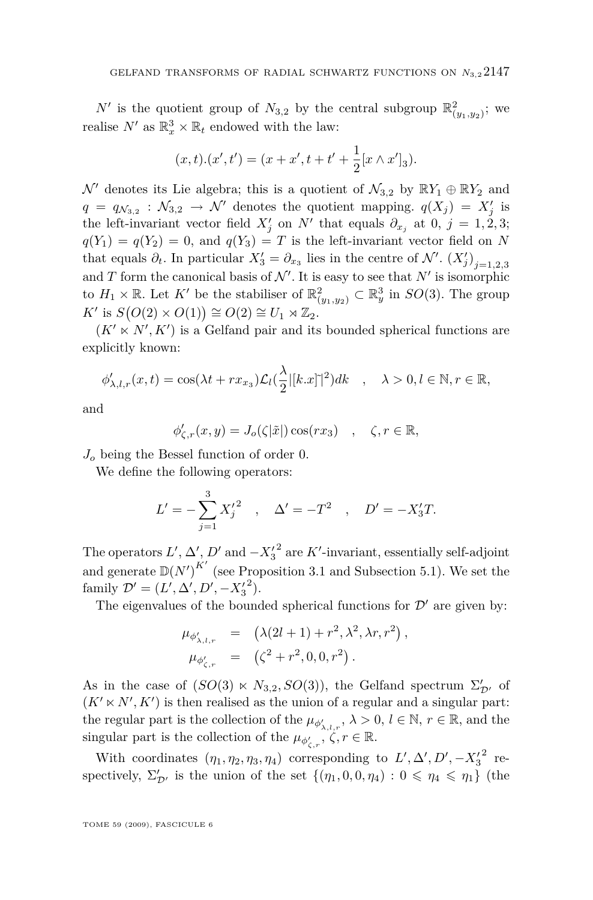$N'$  is the quotient group of  $N_{3,2}$  by the central subgroup  $\mathbb{R}^2_{(y_1,y_2)}$ ; we realise  $N'$  as  $\mathbb{R}_x^3 \times \mathbb{R}_t$  endowed with the law:

$$
(x,t).(x',t') = (x+x',t+t'+\frac{1}{2}[x\wedge x']_3).
$$

 $\mathcal{N}'$  denotes its Lie algebra; this is a quotient of  $\mathcal{N}_{3,2}$  by  $\mathbb{R}Y_1 \oplus \mathbb{R}Y_2$  and  $q = q_{\mathcal{N}_{3,2}} : \mathcal{N}_{3,2} \to \mathcal{N}'$  denotes the quotient mapping.  $q(X_j) = X'_j$  is the left-invariant vector field  $X'_j$  on  $N'$  that equals  $\partial_{x_j}$  at 0,  $j = 1, 2, 3;$  $q(Y_1) = q(Y_2) = 0$ , and  $q(Y_3) = T$  is the left-invariant vector field on *N* that equals  $\partial_t$ . In particular  $X'_3 = \partial_{x_3}$  lies in the centre of  $\mathcal{N}'$ .  $(X'_j)_{j=1,2,3}$ and *T* form the canonical basis of  $\mathcal{N}'$ . It is easy to see that  $N'$  is isomorphic to  $H_1 \times \mathbb{R}$ . Let  $K'$  be the stabiliser of  $\mathbb{R}^2_{(y_1,y_2)} \subset \mathbb{R}^3_y$  in  $SO(3)$ . The group  $K'$  is  $S(O(2) \times O(1)) \cong O(2) \cong U_1 \rtimes \mathbb{Z}_2$ .

 $(K' \ltimes N', K')$  is a Gelfand pair and its bounded spherical functions are explicitly known:

$$
\phi'_{\lambda,l,r}(x,t) = \cos(\lambda t + rx_{x_3})\mathcal{L}_l(\frac{\lambda}{2}|[k.x]|^2)dk \quad , \quad \lambda > 0, l \in \mathbb{N}, r \in \mathbb{R},
$$

and

$$
\phi_{\zeta,r}'(x,y) = J_o(\zeta|\tilde{x}|) \cos(rx_3) \quad , \quad \zeta, r \in \mathbb{R},
$$

*J<sup>o</sup>* being the Bessel function of order 0.

We define the following operators:

$$
L' = -\sum_{j=1}^{3} X'_j{}^2 \quad , \quad \Delta' = -T^2 \quad , \quad D' = -X'_3T.
$$

The operators  $L'$ ,  $\Delta'$ ,  $D'$  and  $-X'^{2}_{3}$  are  $K'$ -invariant, essentially self-adjoint and generate  $\mathbb{D}(N')^{K'}$  (see Proposition [3.1](#page-7-0) and Subsection [5.1\)](#page-14-0). We set the family  $\mathcal{D}' = (L', \Delta', D', -X_3'^2)$ .

The eigenvalues of the bounded spherical functions for  $\mathcal{D}'$  are given by:

$$
\mu_{\phi'_{\lambda,l,r}} = (\lambda(2l+1) + r^2, \lambda^2, \lambda r, r^2), \n\mu_{\phi'_{\zeta,r}} = (\zeta^2 + r^2, 0, 0, r^2).
$$

As in the case of  $(SO(3) \ltimes N_{3,2}, SO(3))$ , the Gelfand spectrum  $\Sigma'_{\mathcal{D}'}$  of  $(K' \ltimes N', K')$  is then realised as the union of a regular and a singular part: the regular part is the collection of the  $\mu_{\phi'_{\lambda,l,r}}, \lambda > 0, l \in \mathbb{N}, r \in \mathbb{R}$ , and the singular part is the collection of the  $\mu_{\phi'_{\zeta,r}}, \zeta, r \in \mathbb{R}$ .

With coordinates  $(\eta_1, \eta_2, \eta_3, \eta_4)$  corresponding to  $L', \Delta', D', -{X'_3}^2$  respectively,  $\Sigma'_{\mathcal{D}'}$  is the union of the set  $\{(\eta_1, 0, 0, \eta_4) : 0 \le \eta_4 \le \eta_1\}$  (the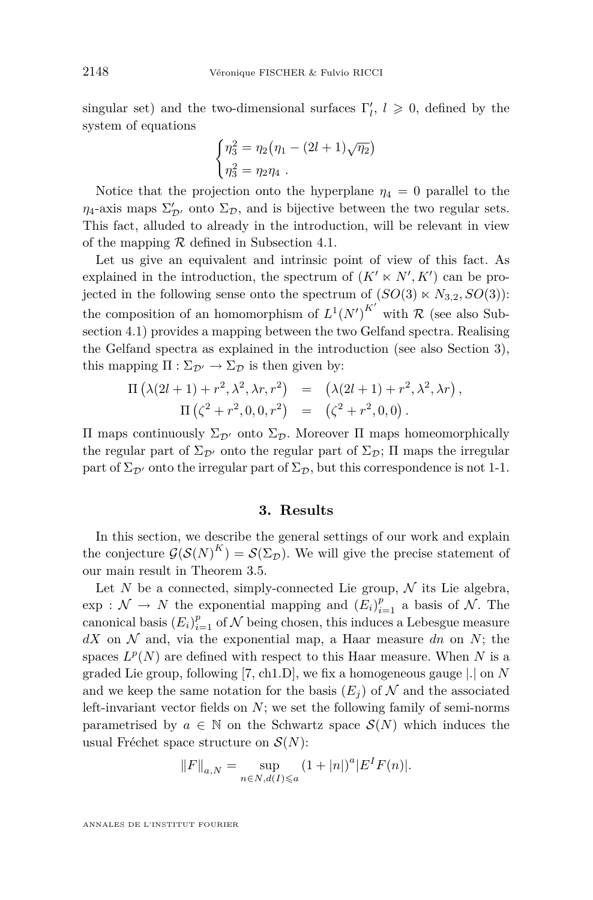<span id="page-6-0"></span>singular set) and the two-dimensional surfaces  $\Gamma'_{l}$ ,  $l \geqslant 0$ , defined by the system of equations

$$
\begin{cases}\n\eta_3^2 = \eta_2 (\eta_1 - (2l+1)\sqrt{\eta_2}) \\
\eta_3^2 = \eta_2 \eta_4 .\n\end{cases}
$$

Notice that the projection onto the hyperplane  $\eta_4 = 0$  parallel to the  $\eta_4$ -axis maps  $\Sigma'_{\mathcal{D}'}$  onto  $\Sigma_{\mathcal{D}}$ , and is bijective between the two regular sets. This fact, alluded to already in the introduction, will be relevant in view of the mapping *R* defined in Subsection 4.1.

Let us give an equivalent and intrinsic point of view of this fact. As explained in the introduction, the spectrum of  $(K' \ltimes N', K')$  can be projected in the following sense onto the spectrum of  $(SO(3) \ltimes N_{3,2}, SO(3))$ : the composition of an homomorphism of  $L^1(N')^{K'}$  with R (see also Subsection [4.1\)](#page-10-0) provides a mapping between the two Gelfand spectra. Realising the Gelfand spectra as explained in the introduction (see also Section 3), this mapping  $\Pi : \Sigma_{\mathcal{D}'} \to \Sigma_{\mathcal{D}}$  is then given by:

$$
\Pi(\lambda(2l+1) + r^2, \lambda^2, \lambda r, r^2) = (\lambda(2l+1) + r^2, \lambda^2, \lambda r), \Pi(\zeta^2 + r^2, 0, 0, r^2) = (\zeta^2 + r^2, 0, 0).
$$

Π maps continuously Σ*D<sup>0</sup>* onto Σ*D*. Moreover Π maps homeomorphically the regular part of  $\Sigma_{\mathcal{D}}$  onto the regular part of  $\Sigma_{\mathcal{D}}$ ; II maps the irregular part of  $\Sigma_{\mathcal{D}}$  onto the irregular part of  $\Sigma_{\mathcal{D}}$ , but this correspondence is not 1-1.

#### **3. Results**

In this section, we describe the general settings of our work and explain the conjecture  $\mathcal{G}(\mathcal{S}(N)^K) = \mathcal{S}(\Sigma_{\mathcal{D}})$ . We will give the precise statement of our main result in Theorem [3.5.](#page-9-0)

Let  $N$  be a connected, simply-connected Lie group,  $N$  its Lie algebra,  $\exp : \mathcal{N} \to \mathcal{N}$  the exponential mapping and  $(E_i)_{i=1}^p$  a basis of  $\mathcal{N}$ . The canonical basis  $(E_i)_{i=1}^p$  of  $N$  being chosen, this induces a Lebesgue measure  $dX$  on  $N$  and, via the exponential map, a Haar measure  $dn$  on  $N$ ; the spaces  $L^p(N)$  are defined with respect to this Haar measure. When  $N$  is a graded Lie group, following [\[7,](#page-26-0) ch1.D], we fix a homogeneous gauge *|.|* on *N* and we keep the same notation for the basis  $(E_i)$  of  $N$  and the associated left-invariant vector fields on *N*; we set the following family of semi-norms parametrised by  $a \in \mathbb{N}$  on the Schwartz space  $\mathcal{S}(N)$  which induces the usual Fréchet space structure on *S*(*N*):

$$
||F||_{a,N} = \sup_{n \in N, d(I) \leq a} (1+|n|)^a |E^I F(n)|.
$$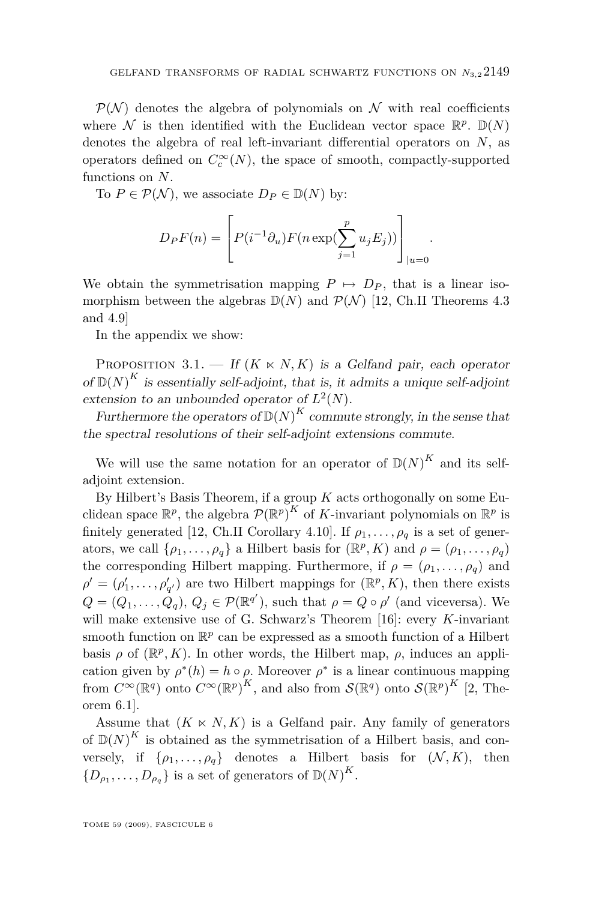<span id="page-7-0"></span> $P(N)$  denotes the algebra of polynomials on N with real coefficients where  $\mathcal N$  is then identified with the Euclidean vector space  $\mathbb{R}^p$ .  $\mathbb{D}(N)$ denotes the algebra of real left-invariant differential operators on *N*, as operators defined on  $C_c^{\infty}(N)$ , the space of smooth, compactly-supported functions on *N*.

To  $P \in \mathcal{P}(\mathcal{N})$ , we associate  $D_P \in \mathbb{D}(N)$  by:

$$
D_P F(n) = \left[ P(i^{-1} \partial_u) F(n \exp(\sum_{j=1}^p u_j E_j)) \right]_{|u=0}.
$$

We obtain the symmetrisation mapping  $P \mapsto D_P$ , that is a linear isomorphism between the algebras  $\mathbb{D}(N)$  and  $\mathcal{P}(\mathcal{N})$  [\[12,](#page-26-0) Ch.II Theorems 4.3] and 4.9]

In the appendix we show:

PROPOSITION 3.1. — If  $(K \ltimes N, K)$  is a Gelfand pair, each operator of  $\mathbb{D}(N)^K$  is essentially self-adjoint, that is, it admits a unique self-adjoint extension to an unbounded operator of  $L^2(N)$ .

Furthermore the operators of  $\mathbb{D}(N)^K$  commute strongly, in the sense that the spectral resolutions of their self-adjoint extensions commute.

We will use the same notation for an operator of  $\mathbb{D}(N)^K$  and its selfadjoint extension.

By Hilbert's Basis Theorem, if a group *K* acts orthogonally on some Euclidean space  $\mathbb{R}^p$ , the algebra  $\mathcal{P}(\mathbb{R}^p)^K$  of *K*-invariant polynomials on  $\mathbb{R}^p$  is finitely generated [\[12,](#page-26-0) Ch.II Corollary 4.10]. If  $\rho_1, \ldots, \rho_q$  is a set of generators, we call  $\{\rho_1, \ldots, \rho_q\}$  a Hilbert basis for  $(\mathbb{R}^p, K)$  and  $\rho = (\rho_1, \ldots, \rho_q)$ the corresponding Hilbert mapping. Furthermore, if  $\rho = (\rho_1, \ldots, \rho_q)$  and  $\rho' = (\rho'_1, \ldots, \rho'_{q'})$  are two Hilbert mappings for  $(\mathbb{R}^p, K)$ , then there exists  $Q = (Q_1, \ldots, Q_q), Q_j \in \mathcal{P}(\mathbb{R}^{q'}),$  such that  $\rho = Q \circ \rho'$  (and viceversa). We will make extensive use of G. Schwarz's Theorem [\[16\]](#page-26-0): every *K*-invariant smooth function on  $\mathbb{R}^p$  can be expressed as a smooth function of a Hilbert basis  $\rho$  of  $(\mathbb{R}^p, K)$ . In other words, the Hilbert map,  $\rho$ , induces an application given by  $\rho^*(h) = h \circ \rho$ . Moreover  $\rho^*$  is a linear continuous mapping from  $C^{\infty}(\mathbb{R}^q)$  onto  $C^{\infty}(\mathbb{R}^p)^K$ , and also from  $\mathcal{S}(\mathbb{R}^q)$  onto  $\mathcal{S}(\mathbb{R}^p)^K$  [\[2,](#page-26-0) Theorem 6.1].

Assume that  $(K \times N, K)$  is a Gelfand pair. Any family of generators of  $\mathbb{D}(N)^K$  is obtained as the symmetrisation of a Hilbert basis, and conversely, if  $\{\rho_1, \ldots, \rho_q\}$  denotes a Hilbert basis for  $(\mathcal{N}, K)$ , then  ${D_{\rho_1}, \ldots, D_{\rho_q}}$  is a set of generators of  $\mathbb{D}(N)^K$ .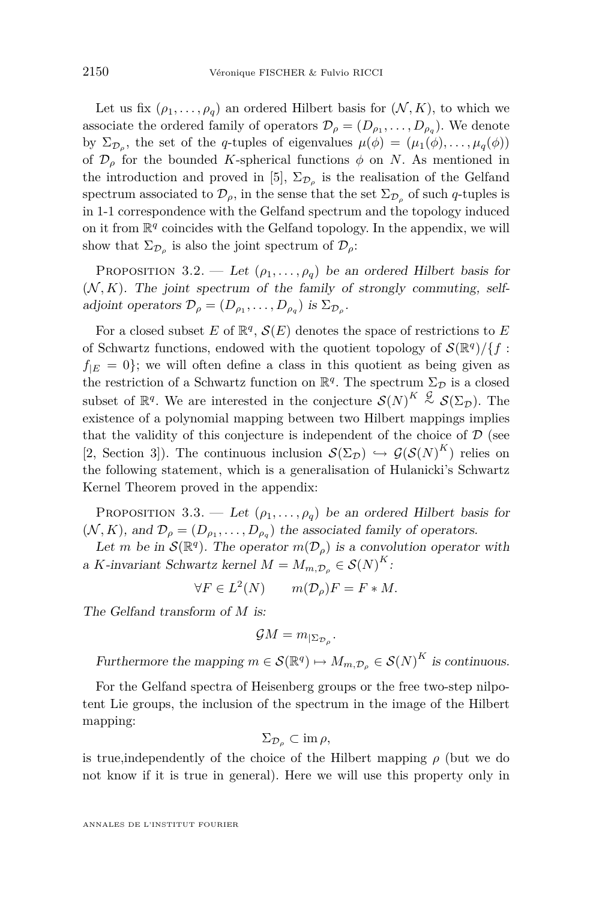<span id="page-8-0"></span>Let us fix  $(\rho_1, \ldots, \rho_q)$  an ordered Hilbert basis for  $(N, K)$ , to which we associate the ordered family of operators  $\mathcal{D}_{\rho} = (D_{\rho_1}, \ldots, D_{\rho_q})$ . We denote by  $\Sigma_{\mathcal{D}_{\rho}}$ , the set of the *q*-tuples of eigenvalues  $\mu(\phi) = (\mu_1(\phi), \dots, \mu_q(\phi))$ of  $\mathcal{D}_{\rho}$  for the bounded *K*-spherical functions  $\phi$  on *N*. As mentioned in the introduction and proved in [\[5\]](#page-26-0),  $\Sigma_{\mathcal{D}_{\rho}}$  is the realisation of the Gelfand spectrum associated to  $\mathcal{D}_{\rho}$ , in the sense that the set  $\Sigma_{\mathcal{D}_{\rho}}$  of such *q*-tuples is in 1-1 correspondence with the Gelfand spectrum and the topology induced on it from  $\mathbb{R}^q$  coincides with the Gelfand topology. In the appendix, we will show that  $\Sigma_{\mathcal{D}_{\rho}}$  is also the joint spectrum of  $\mathcal{D}_{\rho}$ :

PROPOSITION 3.2. — Let  $(\rho_1, \ldots, \rho_q)$  be an ordered Hilbert basis for  $(N, K)$ . The joint spectrum of the family of strongly commuting, selfadjoint operators  $\mathcal{D}_{\rho} = (D_{\rho_1}, \dots, D_{\rho_q})$  is  $\Sigma_{\mathcal{D}_{\rho}}$ .

For a closed subset  $E$  of  $\mathbb{R}^q$ ,  $\mathcal{S}(E)$  denotes the space of restrictions to  $E$ of Schwartz functions, endowed with the quotient topology of  $\mathcal{S}(\mathbb{R}^q)/\{f:$  $f_{|E} = 0$ ; we will often define a class in this quotient as being given as the restriction of a Schwartz function on  $\mathbb{R}^q$ . The spectrum  $\Sigma_{\mathcal{D}}$  is a closed subset of  $\mathbb{R}^q$ . We are interested in the conjecture  $\mathcal{S}(N)^K \stackrel{\mathcal{G}}{\sim} \mathcal{S}(\Sigma_{\mathcal{D}})$ . The existence of a polynomial mapping between two Hilbert mappings implies that the validity of this conjecture is independent of the choice of  $D$  (see [\[2,](#page-26-0) Section 3]). The continuous inclusion  $\mathcal{S}(\Sigma_{\mathcal{D}}) \hookrightarrow \mathcal{G}(\mathcal{S}(N)^K)$  relies on the following statement, which is a generalisation of Hulanicki's Schwartz Kernel Theorem proved in the appendix:

PROPOSITION 3.3. — Let  $(\rho_1, \ldots, \rho_q)$  be an ordered Hilbert basis for  $(N, K)$ , and  $\mathcal{D}_{\rho} = (D_{\rho_1}, \ldots, D_{\rho_q})$  the associated family of operators.

Let *m* be in  $\mathcal{S}(\mathbb{R}^q)$ . The operator  $m(\mathcal{D}_{\rho})$  is a convolution operator with a *K*-invariant Schwartz kernel  $M = M_{m, \mathcal{D}_{\rho}} \in \mathcal{S}(N)^K$ :

$$
\forall F \in L^2(N) \qquad m(\mathcal{D}_\rho)F = F * M.
$$

The Gelfand transform of *M* is:

$$
\mathcal{G}M = m_{|\Sigma_{\mathcal{D}_\rho}}.
$$

Furthermore the mapping  $m \in \mathcal{S}(\mathbb{R}^q) \mapsto M_{m,\mathcal{D}_\rho} \in \mathcal{S}(N)^K$  is continuous.

For the Gelfand spectra of Heisenberg groups or the free two-step nilpotent Lie groups, the inclusion of the spectrum in the image of the Hilbert mapping:

$$
\Sigma_{\mathcal{D}_{\rho}} \subset \text{im } \rho,
$$

is true, independently of the choice of the Hilbert mapping  $\rho$  (but we do not know if it is true in general). Here we will use this property only in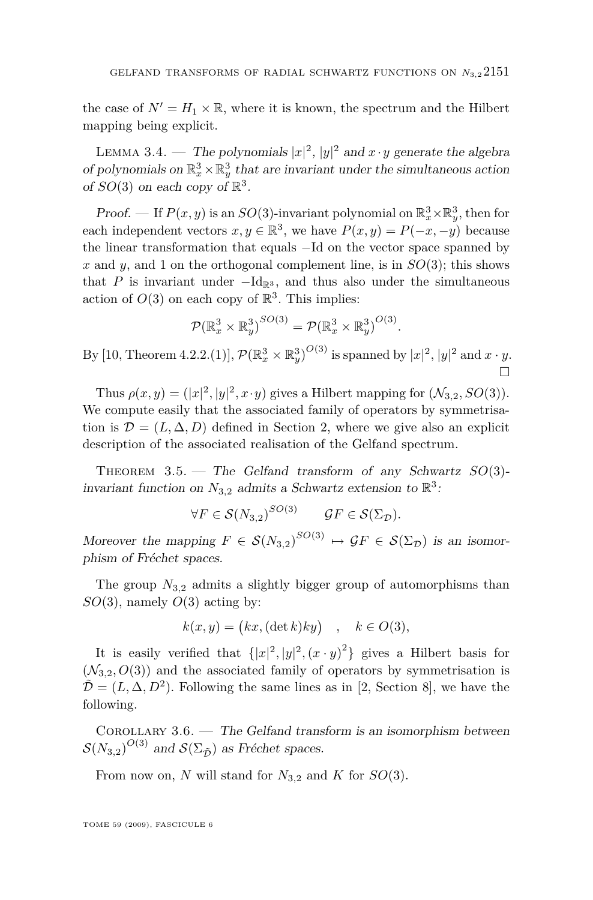<span id="page-9-0"></span>the case of  $N' = H_1 \times \mathbb{R}$ , where it is known, the spectrum and the Hilbert mapping being explicit.

LEMMA 3.4. — The polynomials  $|x|^2$ ,  $|y|^2$  and  $x \cdot y$  generate the algebra of polynomials on  $\mathbb{R}_x^3 \times \mathbb{R}_y^3$  that are invariant under the simultaneous action of  $SO(3)$  on each copy of  $\mathbb{R}^3$ .

*Proof.* — If  $P(x, y)$  is an  $SO(3)$ -invariant polynomial on  $\mathbb{R}^3_x \times \mathbb{R}^3_y$ , then for each independent vectors  $x, y \in \mathbb{R}^3$ , we have  $P(x, y) = P(-x, -y)$  because the linear transformation that equals *−*Id on the vector space spanned by x and y, and 1 on the orthogonal complement line, is in  $SO(3)$ ; this shows that *P* is invariant under  $-Id_{\mathbb{R}^3}$ , and thus also under the simultaneous action of  $O(3)$  on each copy of  $\mathbb{R}^3$ . This implies:

$$
\mathcal{P}(\mathbb{R}^3_x \times \mathbb{R}^3_y)^{SO(3)} = \mathcal{P}(\mathbb{R}^3_x \times \mathbb{R}^3_y)^{O(3)}.
$$

By [\[10,](#page-26-0) Theorem 4.2.2.(1)],  $\mathcal{P}(\mathbb{R}^3_x \times \mathbb{R}^3_y)^{O(3)}$  is spanned by  $|x|^2$ ,  $|y|^2$  and  $x \cdot y$ .  $\Box$ 

Thus  $\rho(x, y) = (|x|^2, |y|^2, x \cdot y)$  gives a Hilbert mapping for  $(\mathcal{N}_{3,2}, SO(3)).$ We compute easily that the associated family of operators by symmetrisation is  $\mathcal{D} = (L, \Delta, D)$  defined in Section [2,](#page-3-0) where we give also an explicit description of the associated realisation of the Gelfand spectrum.

THEOREM 3.5. — The Gelfand transform of any Schwartz  $SO(3)$ invariant function on  $N_{3,2}$  admits a Schwartz extension to  $\mathbb{R}^3$ .

$$
\forall F \in \mathcal{S}(N_{3,2})^{SO(3)} \qquad \mathcal{G}F \in \mathcal{S}(\Sigma_{\mathcal{D}}).
$$

Moreover the mapping  $F \in S(N_{3,2})^{SO(3)} \mapsto \mathcal{G}F \in S(\Sigma_{\mathcal{D}})$  is an isomorphism of Fréchet spaces.

The group *N*3*,*<sup>2</sup> admits a slightly bigger group of automorphisms than *SO*(3), namely *O*(3) acting by:

$$
k(x, y) = (kx, (\det k)ky) \quad , \quad k \in O(3),
$$

It is easily verified that  $\{|x|^2, |y|^2, (x \cdot y)^2\}$  gives a Hilbert basis for  $(\mathcal{N}_{3,2}, O(3))$  and the associated family of operators by symmetrisation is  $\tilde{\mathcal{D}} = (L, \Delta, D^2)$ . Following the same lines as in [\[2,](#page-26-0) Section 8], we have the following.

Corollary 3.6. — The Gelfand transform is an isomorphism between  $S(N_{3,2})^{O(3)}$  and  $S(\Sigma_{\tilde{D}})$  as Fréchet spaces.

From now on, *N* will stand for  $N_{3,2}$  and *K* for  $SO(3)$ .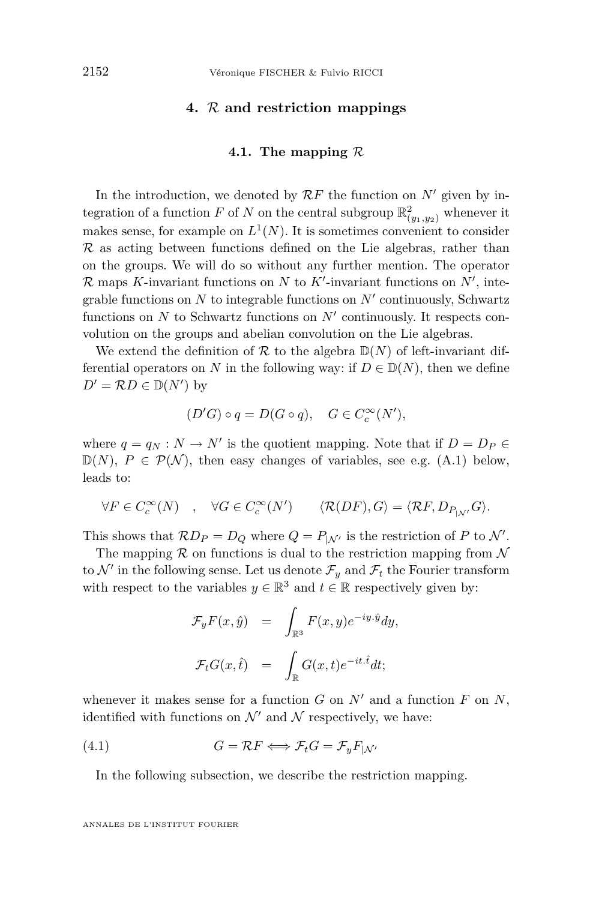#### **4.** *R* **and restriction mappings**

#### **4.1. The mapping** *R*

<span id="page-10-0"></span>In the introduction, we denoted by  $\mathcal{R}F$  the function on  $N'$  given by integration of a function  $F$  of  $N$  on the central subgroup  $\mathbb{R}^2_{(y_1,y_2)}$  whenever it makes sense, for example on  $L^1(N)$ . It is sometimes convenient to consider  $R$  as acting between functions defined on the Lie algebras, rather than on the groups. We will do so without any further mention. The operator  $\mathcal{R}$  maps *K*-invariant functions on *N* to *K*<sup>*I*</sup>-invariant functions on *N*<sup>*I*</sup>, integrable functions on  $N$  to integrable functions on  $N'$  continuously, Schwartz functions on  $N$  to Schwartz functions on  $N'$  continuously. It respects convolution on the groups and abelian convolution on the Lie algebras.

We extend the definition of  $\mathcal R$  to the algebra  $\mathbb D(N)$  of left-invariant differential operators on *N* in the following way: if  $D \in \mathbb{D}(N)$ , then we define  $D' = \mathcal{R}D \in \mathbb{D}(N')$  by

$$
(D'G) \circ q = D(G \circ q), \quad G \in C_c^{\infty}(N'),
$$

where  $q = q_N : N \to N'$  is the quotient mapping. Note that if  $D = D_P \in$  $\mathbb{D}(N)$ ,  $P \in \mathcal{P}(\mathcal{N})$ , then easy changes of variables, see e.g. [\(A.1\)](#page-19-0) below, leads to:

$$
\forall F \in C_c^{\infty}(N) \quad , \quad \forall G \in C_c^{\infty}(N') \qquad \langle \mathcal{R}(DF), G \rangle = \langle \mathcal{R}F, D_{P_{|N'}}G \rangle.
$$

This shows that  $\mathcal{R}D_P = D_Q$  where  $Q = P_{\vert \mathcal{N}'}$  is the restriction of *P* to  $\mathcal{N}'$ .

The mapping  $\mathcal R$  on functions is dual to the restriction mapping from  $\mathcal N$ to  $\mathcal{N}'$  in the following sense. Let us denote  $\mathcal{F}_y$  and  $\mathcal{F}_t$  the Fourier transform with respect to the variables  $y \in \mathbb{R}^3$  and  $t \in \mathbb{R}$  respectively given by:

$$
\mathcal{F}_y F(x, \hat{y}) = \int_{\mathbb{R}^3} F(x, y) e^{-iy \cdot \hat{y}} dy,
$$
  

$$
\mathcal{F}_t G(x, \hat{t}) = \int_{\mathbb{R}} G(x, t) e^{-it \cdot \hat{t}} dt;
$$

whenever it makes sense for a function  $G$  on  $N'$  and a function  $F$  on  $N$ , identified with functions on  $\mathcal{N}'$  and  $\mathcal{N}$  respectively, we have:

(4.1) 
$$
G = \mathcal{R}F \Longleftrightarrow \mathcal{F}_t G = \mathcal{F}_y F_{|\mathcal{N}'}
$$

In the following subsection, we describe the restriction mapping.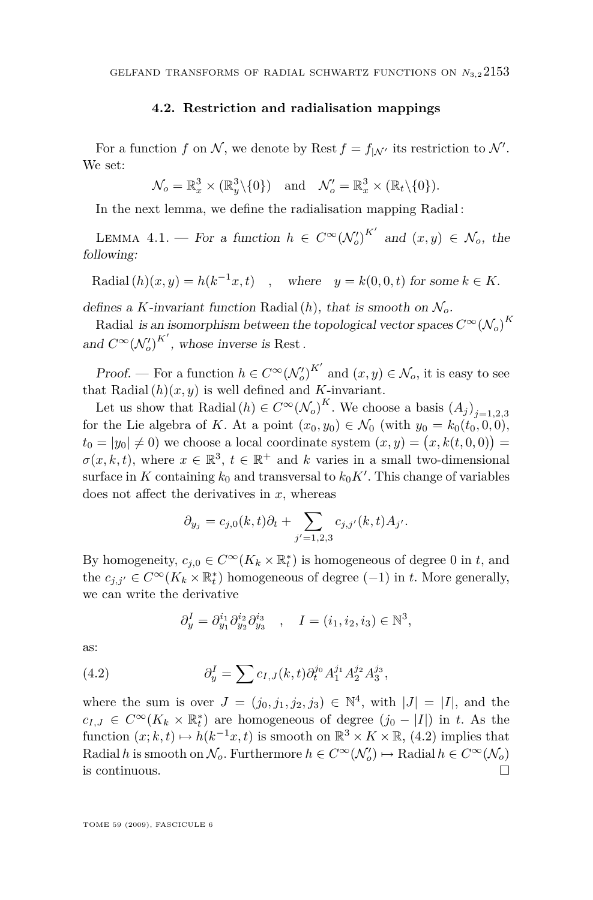#### **4.2. Restriction and radialisation mappings**

<span id="page-11-0"></span>For a function *f* on *N*, we denote by Rest  $f = f_{\vert \mathcal{N}'}$  its restriction to  $\mathcal{N}'$ . We set:

$$
\mathcal{N}_o = \mathbb{R}_x^3 \times (\mathbb{R}_y^3 \setminus \{0\})
$$
 and  $\mathcal{N}'_o = \mathbb{R}_x^3 \times (\mathbb{R}_t \setminus \{0\}).$ 

In the next lemma, we define the radialisation mapping Radial :

LEMMA 4.1. — For a function  $h \in C^{\infty}(\mathcal{N}'_o)^{K'}$  and  $(x, y) \in \mathcal{N}_o$ , the following:

Radial $(h)(x, y) = h(k^{-1}x, t)$ , where  $y = k(0, 0, t)$  for some  $k \in K$ .

defines a *K*-invariant function Radial  $(h)$ , that is smooth on  $\mathcal{N}_o$ .

Radial *is an isomorphism between the topological vector spaces*  $C^{\infty}(\mathcal{N}_o)^K$ and  $C^{\infty}(\mathcal{N}'_o)^{K'}$ , whose inverse is Rest.

Proof. — For a function  $h \in C^{\infty}(\mathcal{N}'_o)^{K'}$  and  $(x, y) \in \mathcal{N}_o$ , it is easy to see that Radial $(h)(x, y)$  is well defined and *K*-invariant.

Let us show that Radial  $(h) \in C^{\infty}(\mathcal{N}_o)^K$ . We choose a basis  $(A_j)_{j=1,2,3}$ for the Lie algebra of *K*. At a point  $(x_0, y_0) \in \mathcal{N}_0$  (with  $y_0 = k_0(t_0, 0, 0)$ ,  $t_0 = |y_0| \neq 0$ ) we choose a local coordinate system  $(x, y) = (x, k(t, 0, 0)) =$  $\sigma(x, k, t)$ , where  $x \in \mathbb{R}^3$ ,  $t \in \mathbb{R}^+$  and  $k$  varies in a small two-dimensional surface in  $K$  containing  $k_0$  and transversal to  $k_0 K'$ . This change of variables does not affect the derivatives in *x*, whereas

$$
\partial_{y_j} = c_{j,0}(k,t)\partial_t + \sum_{j'=1,2,3} c_{j,j'}(k,t)A_{j'}.
$$

By homogeneity,  $c_{j,0} \in C^{\infty}(K_k \times \mathbb{R}^*_t)$  is homogeneous of degree 0 in *t*, and the  $c_{j,j'} \in C^{\infty}(K_k \times \mathbb{R}_t^*)$  homogeneous of degree  $(-1)$  in *t*. More generally, we can write the derivative

$$
\partial_y^I = \partial_{y_1}^{i_1} \partial_{y_2}^{i_2} \partial_{y_3}^{i_3} , \quad I = (i_1, i_2, i_3) \in \mathbb{N}^3,
$$

as:

(4.2) 
$$
\partial_y^I = \sum c_{I,J}(k,t) \partial_t^{j_0} A_1^{j_1} A_2^{j_2} A_3^{j_3},
$$

where the sum is over  $J = (j_0, j_1, j_2, j_3) \in \mathbb{N}^4$ , with  $|J| = |I|$ , and the *c*<sub>*I,J*</sub> ∈  $C^{\infty}(K_k \times \mathbb{R}_t^*)$  are homogeneous of degree  $(j_0 - |I|)$  in *t*. As the function  $(x; k, t) \mapsto h(k^{-1}x, t)$  is smooth on  $\mathbb{R}^3 \times K \times \mathbb{R}$ , (4.2) implies that  $\text{Radial } h$  is smooth on  $\mathcal{N}_o$ . Furthermore  $h \in C^{\infty}(\mathcal{N}'_o) \mapsto \text{Radial } h \in C^{\infty}(\mathcal{N}_o)$ is continuous.  $\Box$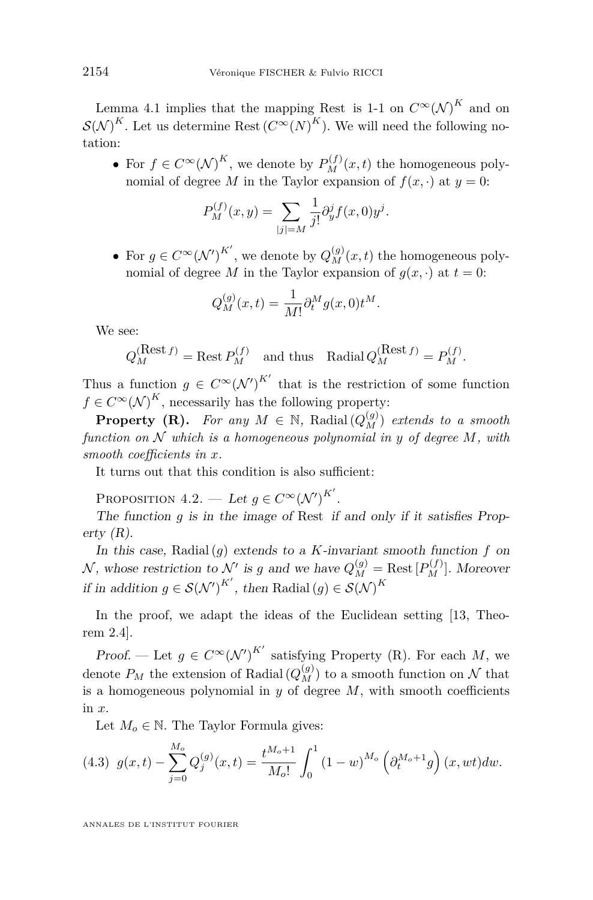<span id="page-12-0"></span>Lemma [4.1](#page-11-0) implies that the mapping Rest is 1-1 on  $C^{\infty}(\mathcal{N})^K$  and on  $\mathcal{S}(\mathcal{N})^K$ . Let us determine Rest  $(C^{\infty}(N)^K)$ . We will need the following notation:

• For  $f \in C^{\infty}(\mathcal{N})^K$ , we denote by  $P_M^{(f)}(x,t)$  the homogeneous polynomial of degree *M* in the Taylor expansion of  $f(x, \cdot)$  at  $y = 0$ :

$$
P_M^{(f)}(x,y) = \sum_{|j|=M} \frac{1}{j!} \partial_y^j f(x,0) y^j.
$$

• For  $g \in C^{\infty}(\mathcal{N}')^{K'}$ , we denote by  $Q_M^{(g)}(x, t)$  the homogeneous polynomial of degree *M* in the Taylor expansion of  $g(x, \cdot)$  at  $t = 0$ :

$$
Q_M^{(g)}(x,t) = \frac{1}{M!} \partial_t^M g(x,0) t^M.
$$

We see:

$$
Q_M^{(\text{Rest }f)} = \text{Rest } P_M^{(f)}
$$
 and thus Radial  $Q_M^{(\text{Rest }f)} = P_M^{(f)}$ .

Thus a function  $g \in C^{\infty}(\mathcal{N}')^{K'}$  that is the restriction of some function  $f \in C^{\infty}(\mathcal{N})^K$ , necessarily has the following property:

**Property (R).** For any  $M \in \mathbb{N}$ , Radial  $(Q_M^{(g)})$  extends to a smooth *function on N which is a homogeneous polynomial in y of degree M, with smooth coefficients in x.*

It turns out that this condition is also sufficient:

PROPOSITION  $4.2$ . — Let  $g \in C^{\infty}(\mathcal{N}')^{K'}$ .

The function *g* is in the image of Rest if and only if it satisfies Property  $(R)$ .

In this case, Radial(*g*) extends to a *K*-invariant smooth function *f* on  $\mathcal{N}$ , whose restriction to  $\mathcal{N}'$  is *g* and we have  $Q_M^{(g)} = \text{Rest}[P_M^{(f)}]$ . Moreover if in addition  $g \in \mathcal{S}(\mathcal{N}')^{K'}$ , then Radial  $(g) \in \mathcal{S}(\mathcal{N})^{K'}$ 

In the proof, we adapt the ideas of the Euclidean setting [\[13,](#page-26-0) Theorem 2.4].

Proof. — Let  $g \in C^{\infty}(\mathcal{N}')^{K'}$  satisfying Property (R). For each M, we denote  $P_M$  the extension of Radial  $(Q_M^{(g)})$  to a smooth function on  $\mathcal N$  that is a homogeneous polynomial in *y* of degree *M*, with smooth coefficients in *x*.

Let  $M_o \in \mathbb{N}$ . The Taylor Formula gives:

(4.3) 
$$
g(x,t) - \sum_{j=0}^{M_o} Q_j^{(g)}(x,t) = \frac{t^{M_o+1}}{M_o!} \int_0^1 (1-w)^{M_o} \left(\partial_t^{M_o+1} g\right)(x, wt) dw.
$$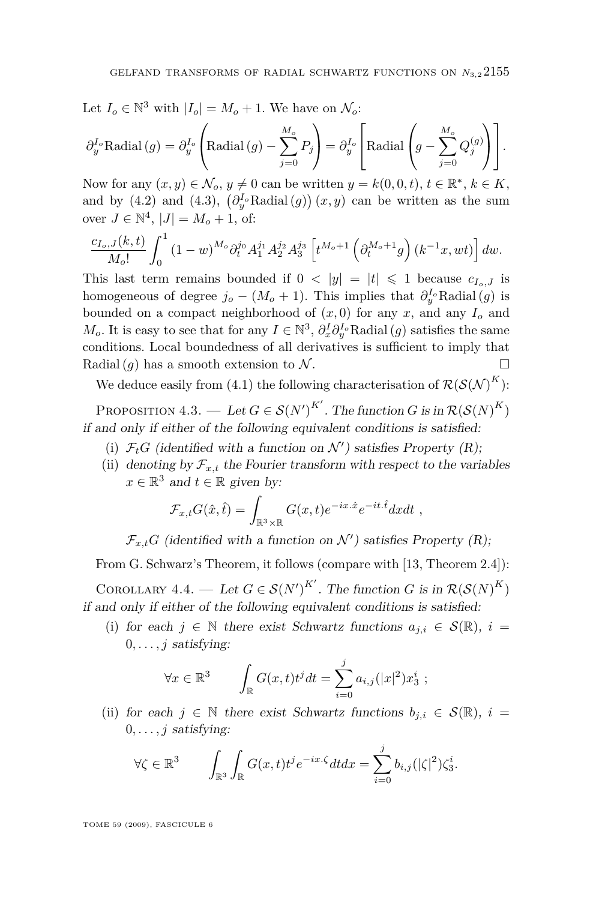<span id="page-13-0"></span>Let 
$$
I_o \in \mathbb{N}^3
$$
 with  $|I_o| = M_o + 1$ . We have on  $\mathcal{N}_o$ :

$$
\partial_y^{I_o} \text{Radial}(g) = \partial_y^{I_o} \left( \text{Radial}(g) - \sum_{j=0}^{M_o} P_j \right) = \partial_y^{I_o} \left[ \text{Radial}\left(g - \sum_{j=0}^{M_o} Q_j^{(g)}\right) \right].
$$

Now for any  $(x, y) \in \mathcal{N}_o, y \neq 0$  can be written  $y = k(0, 0, t), t \in \mathbb{R}^*, k \in K$ , and by [\(4.2\)](#page-11-0) and [\(4.3\)](#page-12-0),  $(\partial_y^I \text{Radial}(g))(x, y)$  can be written as the sum over  $J \in \mathbb{N}^4$ ,  $|J| = M_o + 1$ , of:

$$
\frac{c_{I_o,J}(k,t)}{M_o!} \int_0^1 (1-w)^{M_o} \partial_t^{j_0} A_1^{j_1} A_2^{j_2} A_3^{j_3} \left[ t^{M_o+1} \left( \partial_t^{M_o+1} g \right) (k^{-1}x, wt) \right] dw.
$$

This last term remains bounded if  $0 < |y| = |t| \leq 1$  because  $c_{I_o,J}$  is homogeneous of degree  $j_o - (M_o + 1)$ . This implies that  $\partial_y^{I_o}$  Radial(*g*) is bounded on a compact neighborhood of  $(x, 0)$  for any  $x$ , and any  $I<sub>o</sub>$  and *M*<sup>o</sup>. It is easy to see that for any  $I \in \mathbb{N}^3$ ,  $\partial_x^I \partial_y^I \partial_y^I$  Radial  $(g)$  satisfies the same conditions. Local boundedness of all derivatives is sufficient to imply that Radial  $(q)$  has a smooth extension to  $N$ .

We deduce easily from [\(4.1\)](#page-10-0) the following characterisation of  $\mathcal{R}(\mathcal{S}(\mathcal{N})^K)$ :

PROPOSITION  $4.3.$  — Let  $G \in \mathcal{S}(N')^{K'}$ . The function  $G$  is in  $\mathcal{R}(\mathcal{S}(N)^K)$ if and only if either of the following equivalent conditions is satisfied:

- (i)  $\mathcal{F}_t G$  (identified with a function on  $\mathcal{N}'$ ) satisfies Property (R);
- (ii) denoting by  $\mathcal{F}_{x,t}$  the Fourier transform with respect to the variables  $x \in \mathbb{R}^3$  and  $t \in \mathbb{R}$  given by:

$$
\mathcal{F}_{x,t} G(\hat{x}, \hat{t}) = \int_{\mathbb{R}^3 \times \mathbb{R}} G(x, t) e^{-ix.\hat{x}} e^{-it.\hat{t}} dx dt ,
$$

 $\mathcal{F}_{x,t}$ *G* (identified with a function on  $\mathcal{N}'$ ) satisfies Property (R);

From G. Schwarz's Theorem, it follows (compare with [\[13,](#page-26-0) Theorem 2.4]):

COROLLARY 4.4. — Let  $G \in \mathcal{S}(N')^{K'}$ . The function  $G$  is in  $\mathcal{R}(\mathcal{S}(N)^K)$ if and only if either of the following equivalent conditions is satisfied:

(i) for each  $j \in \mathbb{N}$  there exist Schwartz functions  $a_{j,i} \in \mathcal{S}(\mathbb{R})$ ,  $i =$  $0, \ldots, j$  satisfying:

$$
\forall x \in \mathbb{R}^3 \qquad \int_{\mathbb{R}} G(x,t)t^j dt = \sum_{i=0}^j a_{i,j}(|x|^2) x_3^i ;
$$

(ii) for each  $j \in \mathbb{N}$  there exist Schwartz functions  $b_{j,i} \in \mathcal{S}(\mathbb{R})$ ,  $i =$  $0, \ldots, j$  satisfying:

$$
\forall \zeta \in \mathbb{R}^3 \qquad \int_{\mathbb{R}^3} \int_{\mathbb{R}} G(x,t) t^j e^{-ix\cdot\zeta} dt dx = \sum_{i=0}^j b_{i,j} (|\zeta|^2) \zeta_3^i.
$$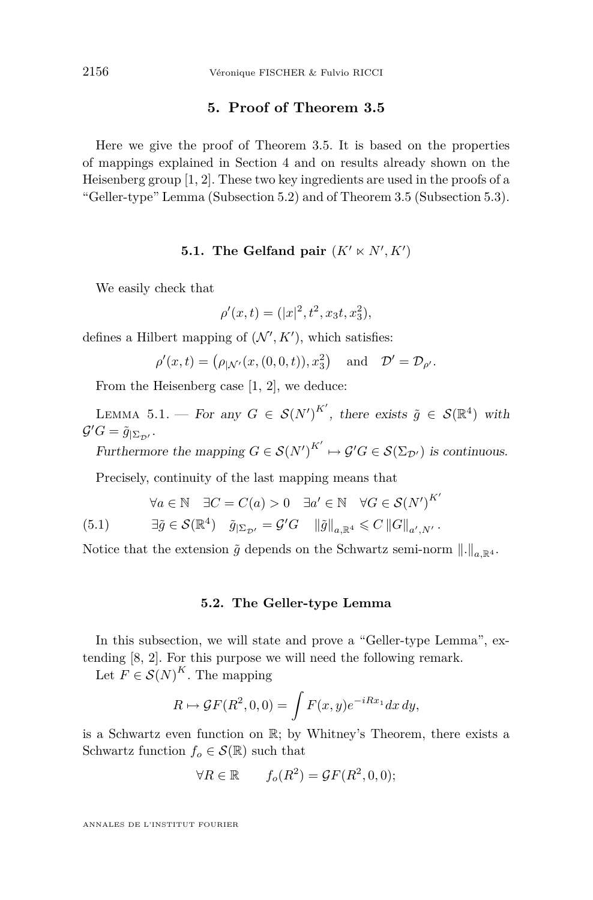#### **5. Proof of Theorem [3.5](#page-9-0)**

<span id="page-14-0"></span>Here we give the proof of Theorem [3.5.](#page-9-0) It is based on the properties of mappings explained in Section [4](#page-10-0) and on results already shown on the Heisenberg group [\[1,](#page-26-0) [2\]](#page-26-0). These two key ingredients are used in the proofs of a "Geller-type" Lemma (Subsection 5.2) and of Theorem [3.5](#page-9-0) (Subsection [5.3\)](#page-17-0).

### **5.1.** The Gelfand pair  $(K' \ltimes N', K')$

We easily check that

$$
\rho'(x,t) = (|x|^2, t^2, x_3t, x_3^2),
$$

defines a Hilbert mapping of  $(\mathcal{N}', K')$ , which satisfies:

 $\rho'(x,t) = (\rho_{|N'}(x,(0,0,t)), x_3^2)$  and  $\mathcal{D}' = \mathcal{D}_{\rho'}$ .

From the Heisenberg case [\[1,](#page-26-0) [2\]](#page-26-0), we deduce:

LEMMA 5.1. — For any  $G \in \mathcal{S}(N')^{K'}$ , there exists  $\tilde{g} \in \mathcal{S}(\mathbb{R}^4)$  with  $\mathcal{G}'G = \tilde{g}_{|\Sigma_{\mathcal{D}'}}$ .

Furthermore the mapping  $G \in \mathcal{S}(N')^{K'} \mapsto \mathcal{G}'G \in \mathcal{S}(\Sigma_{\mathcal{D}'})$  is continuous.

*K<sup>0</sup>*

Precisely, continuity of the last mapping means that

$$
\forall a \in \mathbb{N} \quad \exists C = C(a) > 0 \quad \exists a' \in \mathbb{N} \quad \forall G \in \mathcal{S}(N')^{K'}
$$

(5.1) 
$$
\exists \tilde{g} \in \mathcal{S}(\mathbb{R}^4) \quad \tilde{g}_{|\Sigma_{\mathcal{D}'}} = \mathcal{G}'G \quad \|\tilde{g}\|_{a,\mathbb{R}^4} \leqslant C \left\|G\right\|_{a',N'}.
$$

Notice that the extension  $\tilde{g}$  depends on the Schwartz semi-norm  $\|.\|_{a\mathbb{R}^4}$ .

#### **5.2. The Geller-type Lemma**

In this subsection, we will state and prove a "Geller-type Lemma", extending [\[8,](#page-26-0) [2\]](#page-26-0). For this purpose we will need the following remark.

Let  $F \in \mathcal{S}(N)^K$ . The mapping

$$
R \mapsto \mathcal{G}F(R^2,0,0) = \int F(x,y)e^{-iRx_1}dx\,dy,
$$

is a Schwartz even function on R; by Whitney's Theorem, there exists a Schwartz function  $f_o \in \mathcal{S}(\mathbb{R})$  such that

$$
\forall R \in \mathbb{R} \qquad f_o(R^2) = \mathcal{G}F(R^2, 0, 0);
$$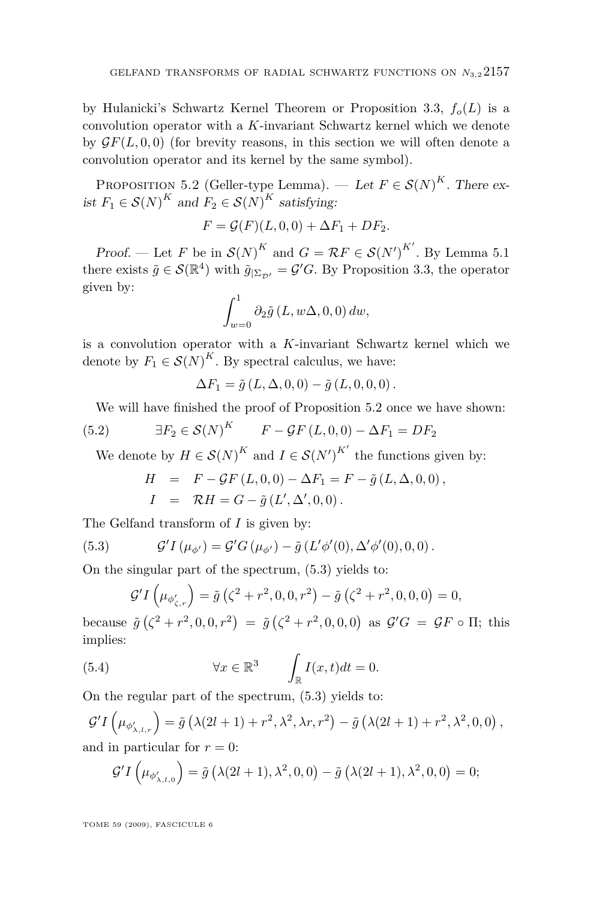<span id="page-15-0"></span>by Hulanicki's Schwartz Kernel Theorem or Proposition [3.3,](#page-8-0)  $f_o(L)$  is a convolution operator with a *K*-invariant Schwartz kernel which we denote by  $\mathcal{G}F(L, 0, 0)$  (for brevity reasons, in this section we will often denote a convolution operator and its kernel by the same symbol).

PROPOSITION 5.2 (Geller-type Lemma). — Let  $F \in \mathcal{S}(N)^K$ . There exist  $F_1 \in \mathcal{S}(N)^K$  and  $F_2 \in \mathcal{S}(N)^K$  satisfying:

$$
F = \mathcal{G}(F)(L,0,0) + \Delta F_1 + DF_2.
$$

Proof. — Let *F* be in  $\mathcal{S}(N)^K$  and  $G = \mathcal{R}F \in \mathcal{S}(N')^{K'}$ . By Lemma [5.1](#page-14-0) there exists  $\tilde{g} \in \mathcal{S}(\mathbb{R}^4)$  with  $\tilde{g}_{|\Sigma_{\mathcal{D}'}} = \mathcal{G}'G$ . By Proposition [3.3,](#page-8-0) the operator given by:

$$
\int_{w=0}^{1} \partial_2 \tilde{g}(L, w\Delta, 0, 0) dw,
$$

is a convolution operator with a *K*-invariant Schwartz kernel which we denote by  $F_1 \in \mathcal{S}(N)^K$ . By spectral calculus, we have:

 $\Delta F_1 = \tilde{q} (L, \Delta, 0, 0) - \tilde{q} (L, 0, 0, 0)$ .

We will have finished the proof of Proposition 5.2 once we have shown:

(5.2) 
$$
\exists F_2 \in \mathcal{S}(N)^K \qquad F - \mathcal{G}F(L,0,0) - \Delta F_1 = DF_2
$$

We denote by  $H \in \mathcal{S}(N)^K$  and  $I \in \mathcal{S}(N')^{K'}$  the functions given by:

$$
H = F - \mathcal{G}F(L, 0, 0) - \Delta F_1 = F - \tilde{g}(L, \Delta, 0, 0),
$$
  

$$
I = \mathcal{R}H = G - \tilde{g}(L', \Delta', 0, 0).
$$

The Gelfand transform of *I* is given by:

(5.3) 
$$
\mathcal{G}' I(\mu_{\phi'}) = \mathcal{G}' G(\mu_{\phi'}) - \tilde{g}(L'\phi'(0), \Delta'\phi'(0), 0, 0).
$$

On the singular part of the spectrum, (5.3) yields to:

$$
\mathcal{G}'I(\mu_{\phi'_{\zeta,r}}) = \tilde{g}(\zeta^2 + r^2, 0, 0, r^2) - \tilde{g}(\zeta^2 + r^2, 0, 0, 0) = 0,
$$

because  $\tilde{g}(\zeta^2 + r^2, 0, 0, r^2) = \tilde{g}(\zeta^2 + r^2, 0, 0, 0)$  as  $\mathcal{G}'G = \mathcal{G}F \circ \Pi$ ; this implies:

(5.4) 
$$
\forall x \in \mathbb{R}^3 \qquad \int_{\mathbb{R}} I(x,t)dt = 0.
$$

On the regular part of the spectrum, (5.3) yields to:

$$
\mathcal{G}'I\left(\mu_{\phi'_{\lambda,l,r}}\right) = \tilde{g}\left(\lambda(2l+1) + r^2, \lambda^2, \lambda r, r^2\right) - \tilde{g}\left(\lambda(2l+1) + r^2, \lambda^2, 0, 0\right),
$$
  
and in particular for  $r = 0$ :

$$
\mathcal{G}'I(\mu_{\phi'_{\lambda,l,0}}) = \tilde{g}(\lambda(2l+1),\lambda^2,0,0) - \tilde{g}(\lambda(2l+1),\lambda^2,0,0) = 0;
$$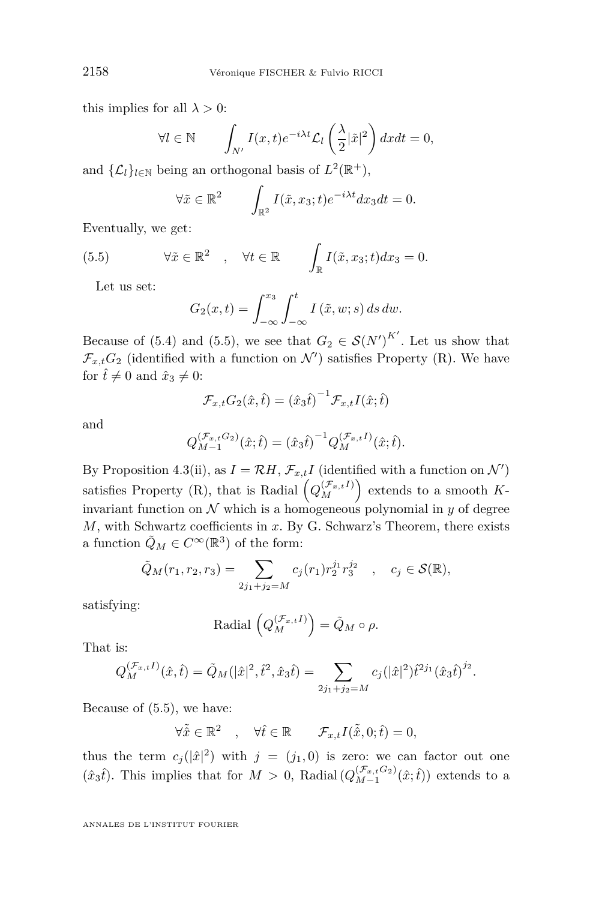this implies for all  $\lambda > 0$ :

$$
\forall l \in \mathbb{N} \qquad \int_{N'} I(x,t)e^{-i\lambda t} \mathcal{L}_l\left(\frac{\lambda}{2}|\tilde{x}|^2\right) dx dt = 0,
$$

and  $\{\mathcal{L}_l\}_{l \in \mathbb{N}}$  being an orthogonal basis of  $L^2(\mathbb{R}^+),$ 

$$
\forall \tilde{x} \in \mathbb{R}^2 \qquad \int_{\mathbb{R}^2} I(\tilde{x}, x_3; t) e^{-i\lambda t} dx_3 dt = 0.
$$

Eventually, we get:

(5.5) 
$$
\forall \tilde{x} \in \mathbb{R}^2 \quad , \quad \forall t \in \mathbb{R} \qquad \int_{\mathbb{R}} I(\tilde{x}, x_3; t) dx_3 = 0.
$$

Let us set:

$$
G_2(x,t) = \int_{-\infty}^{x_3} \int_{-\infty}^t I(\tilde{x}, w; s) ds dw.
$$

Because of [\(5.4\)](#page-15-0) and (5.5), we see that  $G_2 \in \mathcal{S}(N')^{K'}$ . Let us show that  $\mathcal{F}_{x,t}$ *G*<sub>2</sub> (identified with a function on *N*<sup>*i*</sup>) satisfies Property (R). We have for  $\hat{t} \neq 0$  and  $\hat{x}_3 \neq 0$ :

$$
\mathcal{F}_{x,t} G_2(\hat{x}, \hat{t}) = (\hat{x}_3 \hat{t})^{-1} \mathcal{F}_{x,t} I(\hat{x}; \hat{t})
$$

and

$$
Q_{M-1}^{(\mathcal{F}_{x,t}G_2)}(\hat{x};\hat{t}) = (\hat{x}_3 \hat{t})^{-1} Q_M^{(\mathcal{F}_{x,t}I)}(\hat{x};\hat{t}).
$$

By Proposition [4.3\(](#page-13-0)ii), as  $I = \mathcal{R}H$ ,  $\mathcal{F}_{x,t}I$  (identified with a function on  $\mathcal{N}'$ ) satisfies Property (R), that is Radial  $(Q_M^{(\mathcal{F}_{x,t}I)})$  extends to a smooth Kinvariant function on  $N$  which is a homogeneous polynomial in  $y$  of degree *M*, with Schwartz coefficients in *x*. By G. Schwarz's Theorem, there exists a function  $\tilde{Q}_M \in C^\infty(\mathbb{R}^3)$  of the form:

$$
\tilde{Q}_M(r_1, r_2, r_3) = \sum_{2j_1+j_2=M} c_j(r_1) r_2^{j_1} r_3^{j_2} \quad , \quad c_j \in \mathcal{S}(\mathbb{R}),
$$

satisfying:

$$
\mathrm{Radial}\,\left(Q_{M}^{(\mathcal{F}_{x,t}I)}\right)=\tilde{Q}_{M}\circ\rho.
$$

That is:

$$
Q_M^{(\mathcal{F}_{x,t}I)}(\hat{x},\hat{t}) = \tilde{Q}_M(|\hat{x}|^2, \hat{t}^2, \hat{x}_3 \hat{t}) = \sum_{2j_1+j_2=M} c_j(|\hat{x}|^2) \hat{t}^{2j_1}(\hat{x}_3 \hat{t})^{j_2}.
$$

Because of (5.5), we have:

 $\forall \tilde{x} \in \mathbb{R}^2 \quad , \quad \forall \hat{t} \in \mathbb{R} \qquad \mathcal{F}_{x,t} I(\tilde{\tilde{x}}, 0; \hat{t}) = 0,$ 

thus the term  $c_j(|\hat{x}|^2)$  with  $j = (j_1, 0)$  is zero: we can factor out one  $(\hat{x}_3\hat{t})$ . This implies that for  $M > 0$ , Radial  $(Q_{M-1}^{(\mathcal{F}_{x,t}G_2)}(\hat{x};\hat{t}))$  extends to a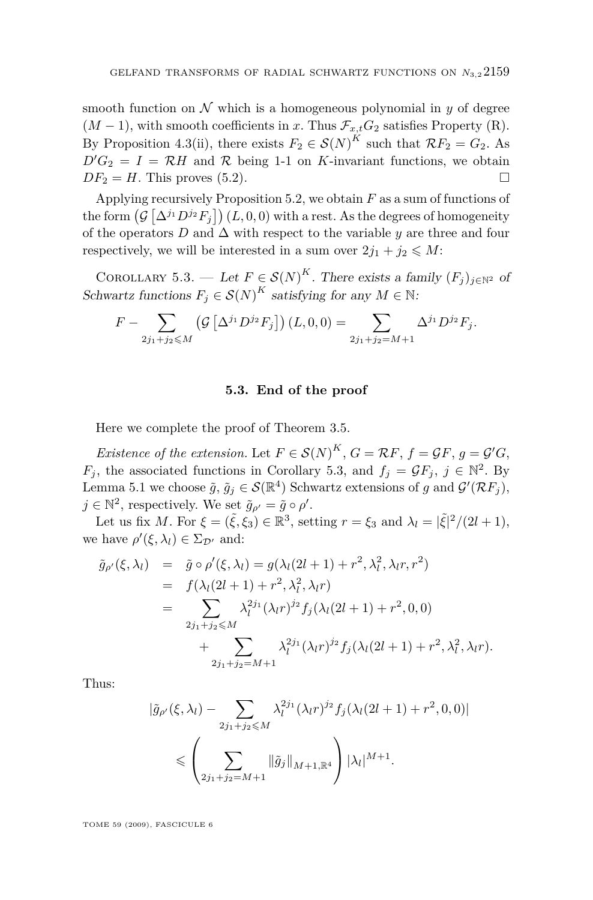<span id="page-17-0"></span>smooth function on  $\mathcal N$  which is a homogeneous polynomial in  $\gamma$  of degree  $(M-1)$ , with smooth coefficients in *x*. Thus  $\mathcal{F}_{x,t}G_2$  satisfies Property (R). By Proposition [4.3\(](#page-13-0)ii), there exists  $F_2 \in S(N)^K$  such that  $\mathcal{R}F_2 = G_2$ . As  $D'G_2 = I = \mathcal{R}H$  and  $\mathcal R$  being 1-1 on *K*-invariant functions, we obtain  $DF_2 = H$ . This proves [\(5.2\)](#page-15-0).

Applying recursively Proposition [5.2,](#page-15-0) we obtain *F* as a sum of functions of the form  $(\mathcal{G}\left[\Delta^{j_1}D^{j_2}F_j\right](L,0,0)$  with a rest. As the degrees of homogeneity of the operators  $D$  and  $\Delta$  with respect to the variable  $y$  are three and four respectively, we will be interested in a sum over  $2j_1 + j_2 \leq M$ :

COROLLARY 5.3. — Let  $F \in \mathcal{S}(N)^K$ . There exists a family  $(F_j)_{j \in \mathbb{N}^2}$  of Schwartz functions  $F_j \in \mathcal{S}(N)^K$  satisfying for any  $M \in \mathbb{N}$ :

$$
F - \sum_{2j_1+j_2 \leqslant M} \left( \mathcal{G} \left[ \Delta^{j_1} D^{j_2} F_j \right] \right) (L, 0, 0) = \sum_{2j_1+j_2=M+1} \Delta^{j_1} D^{j_2} F_j.
$$

#### **5.3. End of the proof**

Here we complete the proof of Theorem [3.5.](#page-9-0)

*Existence of the extension.* Let  $F \in \mathcal{S}(N)^K$ ,  $G = \mathcal{R}F$ ,  $f = \mathcal{G}F$ ,  $g = \mathcal{G}'G$ , *F*<sup>*j*</sup>, the associated functions in Corollary 5.3, and  $f_j = \mathcal{G}F_j$ ,  $j \in \mathbb{N}^2$ . By Lemma [5.1](#page-14-0) we choose  $\tilde{g}$ ,  $\tilde{g}_j \in \mathcal{S}(\mathbb{R}^4)$  Schwartz extensions of *g* and  $\mathcal{G}'(\mathcal{R}F_j)$ ,  $j \in \mathbb{N}^2$ , respectively. We set  $\tilde{g}_{\rho'} = \tilde{g} \circ \rho'$ .

Let us fix *M*. For  $\xi = (\tilde{\xi}, \xi_3) \in \mathbb{R}^3$ , setting  $r = \xi_3$  and  $\lambda_l = |\tilde{\xi}|^2/(2l+1)$ , we have  $\rho'(\xi, \lambda_l) \in \Sigma_{\mathcal{D}'}$  and:

$$
\tilde{g}_{\rho'}(\xi, \lambda_l) = \tilde{g} \circ \rho'(\xi, \lambda_l) = g(\lambda_l(2l+1) + r^2, \lambda_l^2, \lambda_l r, r^2) \n= f(\lambda_l(2l+1) + r^2, \lambda_l^2, \lambda_l r) \n= \sum_{2j_1+j_2 \leq M} \lambda_l^{2j_1}(\lambda_l r)^{j_2} f_j(\lambda_l(2l+1) + r^2, 0, 0) \n+ \sum_{2j_1+j_2=M+1} \lambda_l^{2j_1}(\lambda_l r)^{j_2} f_j(\lambda_l(2l+1) + r^2, \lambda_l^2, \lambda_l r).
$$

Thus:

$$
|\tilde{g}_{\rho'}(\xi,\lambda_l) - \sum_{2j_1+j_2 \le M} \lambda_l^{2j_1} (\lambda_l r)^{j_2} f_j (\lambda_l (2l+1) + r^2, 0, 0)|
$$
  

$$
\le \left( \sum_{2j_1+j_2=M+1} ||\tilde{g}_j||_{M+1, \mathbb{R}^4} \right) |\lambda_l|^{M+1}.
$$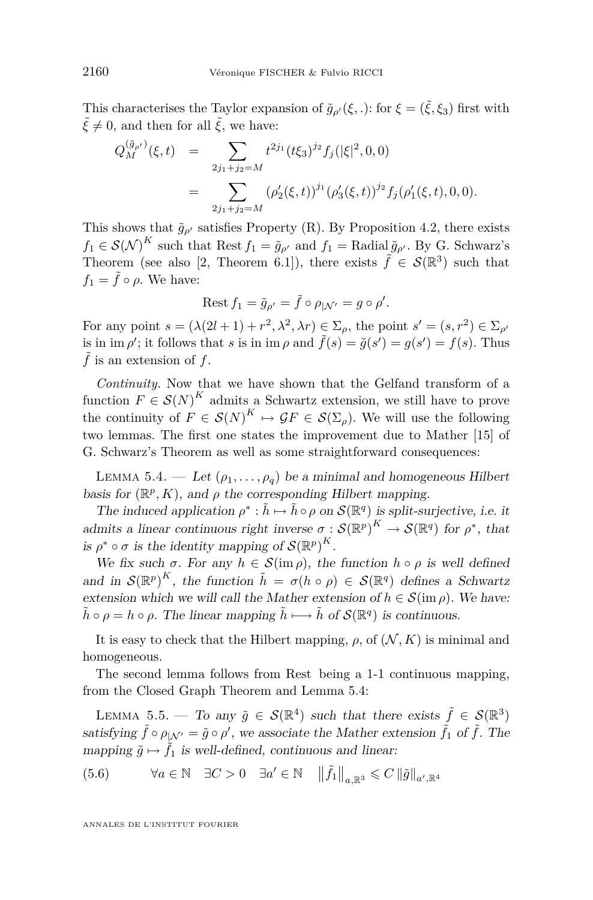<span id="page-18-0"></span>This characterises the Taylor expansion of  $\tilde{g}_{\rho}(\xi,.)$ : for  $\xi = (\tilde{\xi}, \xi_3)$  first with  $\tilde{\xi} \neq 0$ , and then for all  $\tilde{\xi}$ , we have:

$$
Q_M^{(\tilde{g}_{\rho'})}(\xi, t) = \sum_{2j_1+j_2=M} t^{2j_1} (t\xi_3)^{j_2} f_j(|\xi|^2, 0, 0)
$$
  
= 
$$
\sum_{2j_1+j_2=M} (\rho'_2(\xi, t))^{j_1} (\rho'_3(\xi, t))^{j_2} f_j(\rho'_1(\xi, t), 0, 0).
$$

This shows that  $\tilde{g}_{\rho'}$  satisfies Property (R). By Proposition [4.2,](#page-12-0) there exists  $f_1 \in \mathcal{S}(\mathcal{N})^K$  such that Rest  $f_1 = \tilde{g}_{\rho'}$  and  $f_1 = \text{Radial}\,\tilde{g}_{\rho'}$ . By G. Schwarz's Theorem (see also [\[2,](#page-26-0) Theorem 6.1]), there exists  $\tilde{f} \in \mathcal{S}(\mathbb{R}^3)$  such that  $f_1 = \tilde{f} \circ \rho$ . We have:

$$
\mathrm{Rest}\, f_1=\tilde{g}_{\rho'}=\tilde{f}\circ \rho_{|\mathcal{N}'}=g\circ \rho'.
$$

For any point  $s = (\lambda(2l + 1) + r^2, \lambda^2, \lambda r) \in \Sigma_\rho$ , the point  $s' = (s, r^2) \in \Sigma_{\rho'}$ is in im  $\rho'$ ; it follows that *s* is in im  $\rho$  and  $\tilde{f}(s) = \tilde{g}(s') = g(s') = f(s)$ . Thus  $\tilde{f}$  is an extension of  $f$ .

*Continuity.* Now that we have shown that the Gelfand transform of a function  $F \in \mathcal{S}(N)^K$  admits a Schwartz extension, we still have to prove the continuity of  $F \in \mathcal{S}(N)^K \mapsto \mathcal{G}F \in \mathcal{S}(\Sigma_\rho)$ . We will use the following two lemmas. The first one states the improvement due to Mather [\[15\]](#page-26-0) of G. Schwarz's Theorem as well as some straightforward consequences:

LEMMA 5.4. — Let  $(\rho_1, \ldots, \rho_q)$  be a minimal and homogeneous Hilbert basis for  $(\mathbb{R}^p, K)$ , and  $\rho$  the corresponding Hilbert mapping.

The induced application  $\rho^* : \tilde{h} \mapsto \tilde{h} \circ \rho$  on  $\mathcal{S}(\mathbb{R}^q)$  is split-surjective, i.e. it admits a linear continuous right inverse  $\sigma : \mathcal{S}(\mathbb{R}^p)^K \to \mathcal{S}(\mathbb{R}^q)$  for  $\rho^*$ , that is  $\rho^* \circ \sigma$  is the identity mapping of  $\mathcal{S}(\mathbb{R}^p)^K$ .

We fix such  $\sigma$ . For any  $h \in \mathcal{S}(\text{im }\rho)$ , the function  $h \circ \rho$  is well defined and in  $\mathcal{S}(\mathbb{R}^p)^K$ , the function  $\tilde{h} = \sigma(h \circ \rho) \in \mathcal{S}(\mathbb{R}^q)$  defines a Schwartz extension which we will call the Mather extension of  $h \in \mathcal{S}(\text{im } \rho)$ . We have:  $\tilde{h} \circ \rho = h \circ \rho$ . The linear mapping  $\tilde{h} \longmapsto \tilde{h}$  of  $\mathcal{S}(\mathbb{R}^q)$  is continuous.

It is easy to check that the Hilbert mapping,  $\rho$ , of  $(\mathcal{N}, K)$  is minimal and homogeneous.

The second lemma follows from Rest being a 1-1 continuous mapping, from the Closed Graph Theorem and Lemma 5.4:

LEMMA 5.5. — To any  $\tilde{g} \in \mathcal{S}(\mathbb{R}^4)$  such that there exists  $\tilde{f} \in \mathcal{S}(\mathbb{R}^3)$ satisfying  $\tilde{f} \circ \rho_{|N'} = \tilde{g} \circ \rho'$ , we associate the Mather extension  $\tilde{f}_1$  of  $\tilde{f}$ . The mapping  $\tilde{q} \mapsto \tilde{f}_1$  is well-defined, continuous and linear:

 $(5.6)$   $\forall a \in \mathbb{N} \quad \exists C > 0 \quad \exists a' \in \mathbb{N} \quad ||\tilde{f}_1||_{a, \mathbb{R}^3} \leqslant C ||\tilde{g}||_{a', \mathbb{R}^4}$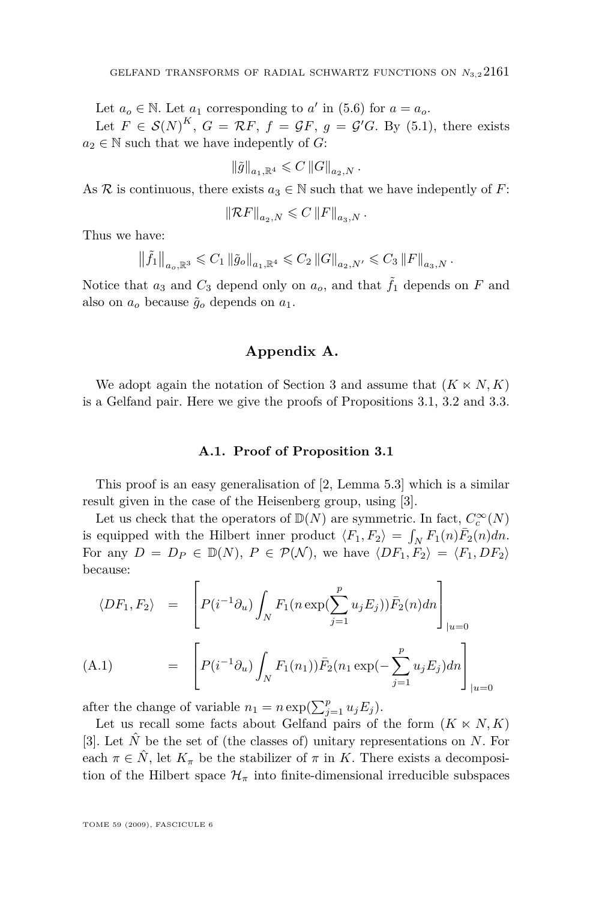<span id="page-19-0"></span>Let  $a_o \in \mathbb{N}$ . Let  $a_1$  corresponding to  $a'$  in [\(5.6\)](#page-18-0) for  $a = a_o$ .

Let  $F \in \mathcal{S}(N)^K$ ,  $G = \mathcal{R}F$ ,  $f = \mathcal{G}F$ ,  $g = \mathcal{G}'G$ . By [\(5.1\)](#page-14-0), there exists  $a_2 \in \mathbb{N}$  such that we have indepently of *G*:

$$
\left\|\tilde{g}\right\|_{a_1,\mathbb{R}^4}\leqslant C\left\|G\right\|_{a_2,N}.
$$

As R is continuous, there exists  $a_3 \in \mathbb{N}$  such that we have indepently of F:

$$
\left\|\mathcal{R}F\right\|_{a_2,N} \leqslant C\left\|F\right\|_{a_3,N}.
$$

Thus we have:

$$
\|\tilde{f}_1\|_{a_o,\mathbb{R}^3} \leq C_1 \left\|\tilde{g}_o\right\|_{a_1,\mathbb{R}^4} \leq C_2 \left\|G\right\|_{a_2,N'} \leq C_3 \left\|F\right\|_{a_3,N}.
$$

Notice that  $a_3$  and  $C_3$  depend only on  $a_0$ , and that  $\tilde{f}_1$  depends on  $F$  and also on  $a_o$  because  $\tilde{g}_o$  depends on  $a_1$ .

#### **Appendix A.**

We adopt again the notation of Section [3](#page-6-0) and assume that  $(K \ltimes N, K)$ is a Gelfand pair. Here we give the proofs of Propositions [3.1,](#page-7-0) [3.2](#page-8-0) and [3.3.](#page-8-0)

#### **A.1. Proof of Proposition [3.1](#page-7-0)**

This proof is an easy generalisation of [\[2,](#page-26-0) Lemma 5.3] which is a similar result given in the case of the Heisenberg group, using [\[3\]](#page-26-0).

Let us check that the operators of  $\mathbb{D}(N)$  are symmetric. In fact,  $C_c^\infty(N)$ is equipped with the Hilbert inner product  $\langle F_1, F_2 \rangle = \int_N F_1(n) \overline{F}_2(n) dn$ . For any  $D = D_P \in \mathbb{D}(N)$ ,  $P \in \mathcal{P}(\mathcal{N})$ , we have  $\langle DF_1, F_2 \rangle = \langle F_1, DF_2 \rangle$ because:

$$
\langle DF_1, F_2 \rangle = \left[ P(i^{-1} \partial_u) \int_N F_1(n \exp(\sum_{j=1}^p u_j E_j)) \bar{F}_2(n) dn \right]_{|u=0}
$$
  
(A.1) 
$$
= \left[ P(i^{-1} \partial_u) \int_N F_1(n_1) \bar{F}_2(n_1 \exp(-\sum_{j=1}^p u_j E_j) dn \right]_{|u=0}
$$

after the change of variable  $n_1 = n \exp(\sum_{j=1}^p u_j E_j)$ .

Let us recall some facts about Gelfand pairs of the form  $(K \ltimes N, K)$ [\[3\]](#page-26-0). Let  $\hat{N}$  be the set of (the classes of) unitary representations on *N*. For each  $\pi \in \hat{N}$ , let  $K_{\pi}$  be the stabilizer of  $\pi$  in *K*. There exists a decomposition of the Hilbert space  $\mathcal{H}_{\pi}$  into finite-dimensional irreducible subspaces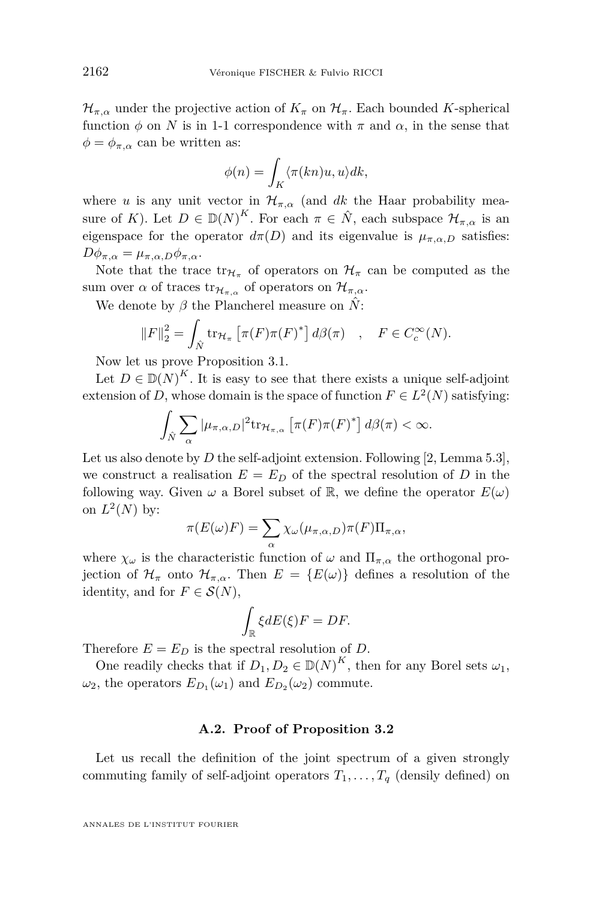$\mathcal{H}_{\pi,\alpha}$  under the projective action of  $K_{\pi}$  on  $\mathcal{H}_{\pi}$ . Each bounded *K*-spherical function  $\phi$  on *N* is in 1-1 correspondence with  $\pi$  and  $\alpha$ , in the sense that  $\phi = \phi_{\pi,\alpha}$  can be written as:

$$
\phi(n) = \int_K \langle \pi(kn)u, u \rangle dk,
$$

where *u* is any unit vector in  $\mathcal{H}_{\pi,\alpha}$  (and *dk* the Haar probability measure of *K*). Let  $D \in \mathbb{D}(N)^K$ . For each  $\pi \in \hat{N}$ , each subspace  $\mathcal{H}_{\pi,\alpha}$  is an eigenspace for the operator  $d\pi(D)$  and its eigenvalue is  $\mu_{\pi,\alpha,D}$  satisfies:  $D\phi_{\pi,\alpha} = \mu_{\pi,\alpha,D}\phi_{\pi,\alpha}.$ 

Note that the trace  $tr_{\mathcal{H}_{\pi}}$  of operators on  $\mathcal{H}_{\pi}$  can be computed as the sum over  $\alpha$  of traces  $tr_{\mathcal{H}_{\pi,\alpha}}$  of operators on  $\mathcal{H}_{\pi,\alpha}$ .

We denote by *β* the Plancherel measure on *N*ˆ:

$$
||F||_2^2 = \int_{\hat{N}} tr_{\mathcal{H}_\pi} \left[ \pi(F) \pi(F)^* \right] d\beta(\pi) , \quad F \in C_c^{\infty}(N).
$$

Now let us prove Proposition [3.1.](#page-7-0)

Let  $D \in \mathbb{D}(N)^K$ . It is easy to see that there exists a unique self-adjoint extension of *D*, whose domain is the space of function  $F \in L^2(N)$  satisfying:

$$
\int_{\hat{N}} \sum_{\alpha} |\mu_{\pi,\alpha,D}|^2 \mathrm{tr}_{\mathcal{H}_{\pi,\alpha}} \left[ \pi(F)\pi(F)^* \right] d\beta(\pi) < \infty.
$$

Let us also denote by *D* the self-adjoint extension. Following [\[2,](#page-26-0) Lemma 5.3], we construct a realisation  $E = E_D$  of the spectral resolution of *D* in the following way. Given  $\omega$  a Borel subset of R, we define the operator  $E(\omega)$ on  $L^2(N)$  by:

$$
\pi(E(\omega)F) = \sum_{\alpha} \chi_{\omega}(\mu_{\pi,\alpha,D})\pi(F)\Pi_{\pi,\alpha},
$$

where  $\chi_{\omega}$  is the characteristic function of  $\omega$  and  $\Pi_{\pi,\alpha}$  the orthogonal projection of  $\mathcal{H}_{\pi}$  onto  $\mathcal{H}_{\pi,\alpha}$ . Then  $E = \{E(\omega)\}\$  defines a resolution of the identity, and for  $F \in \mathcal{S}(N)$ ,

$$
\int_{\mathbb{R}} \xi dE(\xi) F = DF.
$$

Therefore  $E = E_D$  is the spectral resolution of *D*.

One readily checks that if  $D_1, D_2 \in \mathbb{D}(N)^K$ , then for any Borel sets  $\omega_1$ ,  $\omega_2$ , the operators  $E_{D_1}(\omega_1)$  and  $E_{D_2}(\omega_2)$  commute.

#### **A.2. Proof of Proposition [3.2](#page-8-0)**

Let us recall the definition of the joint spectrum of a given strongly commuting family of self-adjoint operators  $T_1, \ldots, T_q$  (density defined) on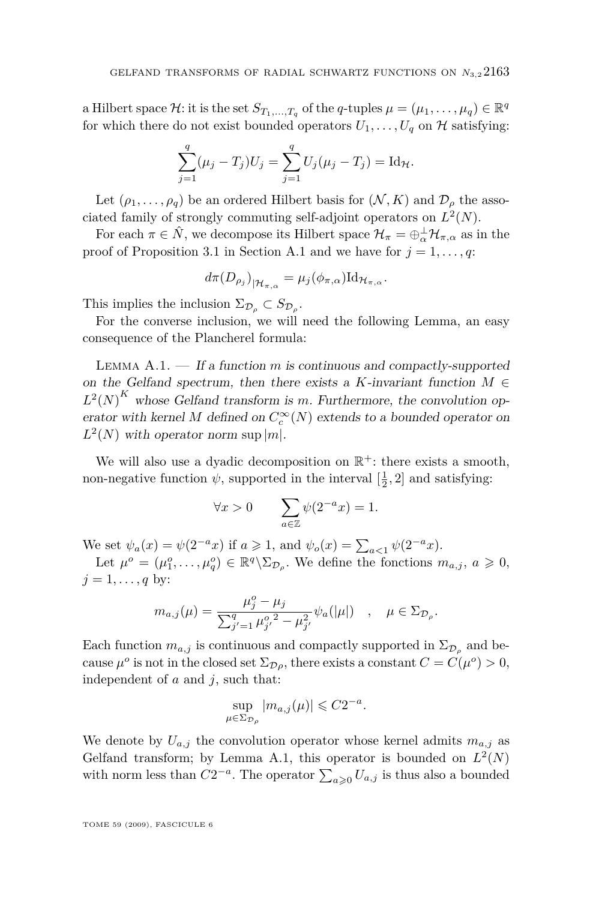a Hilbert space  $\mathcal{H}$ : it is the set  $S_{T_1,\ldots,T_q}$  of the *q*-tuples  $\mu = (\mu_1,\ldots,\mu_q) \in \mathbb{R}^q$ for which there do not exist bounded operators  $U_1, \ldots, U_q$  on  $\mathcal H$  satisfying:

$$
\sum_{j=1}^{q} (\mu_j - T_j) U_j = \sum_{j=1}^{q} U_j (\mu_j - T_j) = \mathrm{Id}_{\mathcal{H}}.
$$

Let  $(\rho_1, \ldots, \rho_q)$  be an ordered Hilbert basis for  $(\mathcal{N}, K)$  and  $\mathcal{D}_{\rho}$  the associated family of strongly commuting self-adjoint operators on  $L^2(N)$ .

For each  $\pi \in \hat{N}$ , we decompose its Hilbert space  $\mathcal{H}_{\pi} = \bigoplus_{\alpha}^{\perp} \mathcal{H}_{\pi,\alpha}$  as in the proof of Proposition [3.1](#page-7-0) in Section [A.1](#page-19-0) and we have for  $j = 1, \ldots, q$ :

$$
d\pi(D_{\rho_j})_{|\mathcal{H}_{\pi,\alpha}}=\mu_j(\phi_{\pi,\alpha})\mathrm{Id}_{\mathcal{H}_{\pi,\alpha}}.
$$

This implies the inclusion  $\Sigma_{\mathcal{D}_{\rho}} \subset S_{\mathcal{D}_{\rho}}$ .

For the converse inclusion, we will need the following Lemma, an easy consequence of the Plancherel formula:

Lemma A.1. — If a function *m* is continuous and compactly-supported on the Gelfand spectrum, then there exists a *K*-invariant function  $M \in$  $L^2(N)^K$  whose Gelfand transform is *m*. Furthermore, the convolution operator with kernel  $M$  defined on  $C_c^{\infty}(N)$  extends to a bounded operator on  $L^2(N)$  with operator norm sup  $|m|$ .

We will also use a dyadic decomposition on  $\mathbb{R}^+$ : there exists a smooth, non-negative function  $\psi$ , supported in the interval  $\left[\frac{1}{2}, 2\right]$  and satisfying:

$$
\forall x > 0 \qquad \sum_{a \in \mathbb{Z}} \psi(2^{-a}x) = 1.
$$

We set  $\psi_a(x) = \psi(2^{-a}x)$  if  $a \ge 1$ , and  $\psi_o(x) = \sum_{a \le 1} \psi(2^{-a}x)$ .

Let  $\mu^o = (\mu_1^o, \ldots, \mu_q^o) \in \mathbb{R}^q \backslash \Sigma_{\mathcal{D}_\rho}$ . We define the fonctions  $m_{a,j}, a \geq 0$ ,  $j = 1, \ldots, q$  by:

$$
m_{a,j}(\mu) = \frac{\mu_j^o - \mu_j}{\sum_{j'=1}^q \mu_{j'}^{o,2} - \mu_{j'}^2} \psi_a(|\mu|) \quad , \quad \mu \in \Sigma_{\mathcal{D}_\rho}.
$$

Each function  $m_{a,j}$  is continuous and compactly supported in  $\Sigma_{\mathcal{D}_\rho}$  and because  $\mu^o$  is not in the closed set  $\Sigma_{\mathcal{D}\rho}$ , there exists a constant  $C = C(\mu^o) > 0$ , independent of *a* and *j*, such that:

$$
\sup_{\mu \in \Sigma_{\mathcal{D}_{\rho}}} |m_{a,j}(\mu)| \leqslant C2^{-a}.
$$

We denote by  $U_{a,j}$  the convolution operator whose kernel admits  $m_{a,j}$  as Gelfand transform; by Lemma A.1, this operator is bounded on  $L^2(N)$ with norm less than  $C2^{-a}$ . The operator  $\sum_{a\geqslant 0} U_{a,j}$  is thus also a bounded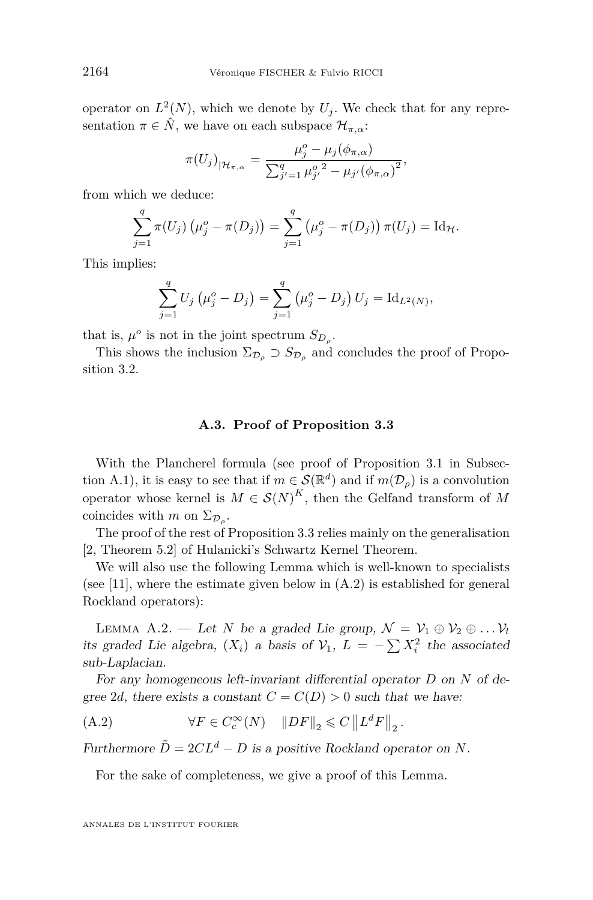<span id="page-22-0"></span>operator on  $L^2(N)$ , which we denote by  $U_j$ . We check that for any representation  $\pi \in \hat{N}$ , we have on each subspace  $\mathcal{H}_{\pi,\alpha}$ :

$$
\pi(U_j)_{|\mathcal{H}_{\pi,\alpha}} = \frac{\mu_j^o - \mu_j(\phi_{\pi,\alpha})}{\sum_{j'=1}^q \mu_{j'}^{o^2} - \mu_{j'}(\phi_{\pi,\alpha})^2},
$$

from which we deduce:

$$
\sum_{j=1}^{q} \pi(U_j) (\mu_j^o - \pi(D_j)) = \sum_{j=1}^{q} (\mu_j^o - \pi(D_j)) \pi(U_j) = \mathrm{Id}_{\mathcal{H}}.
$$

This implies:

$$
\sum_{j=1}^{q} U_j \left( \mu_j^o - D_j \right) = \sum_{j=1}^{q} \left( \mu_j^o - D_j \right) U_j = \mathrm{Id}_{L^2(N)},
$$

that is,  $\mu^o$  is not in the joint spectrum  $S_{D_\rho}$ .

This shows the inclusion  $\Sigma_{\mathcal{D}_{\rho}} \supset S_{\mathcal{D}_{\rho}}$  and concludes the proof of Proposition [3.2.](#page-8-0)

#### **A.3. Proof of Proposition [3.3](#page-8-0)**

With the Plancherel formula (see proof of Proposition [3.1](#page-7-0) in Subsec-tion [A.1\)](#page-19-0), it is easy to see that if  $m \in \mathcal{S}(\mathbb{R}^d)$  and if  $m(\mathcal{D}_{\rho})$  is a convolution operator whose kernel is  $M \in \mathcal{S}(N)^K$ , then the Gelfand transform of M coincides with *m* on  $\Sigma_{\mathcal{D}_{\rho}}$ .

The proof of the rest of Proposition [3.3](#page-8-0) relies mainly on the generalisation [\[2,](#page-26-0) Theorem 5.2] of Hulanicki's Schwartz Kernel Theorem.

We will also use the following Lemma which is well-known to specialists (see [\[11\]](#page-26-0), where the estimate given below in (A.2) is established for general Rockland operators):

LEMMA A.2. — Let *N* be a graded Lie group,  $\mathcal{N} = \mathcal{V}_1 \oplus \mathcal{V}_2 \oplus \ldots \mathcal{V}_l$ its graded Lie algebra,  $(X_i)$  a basis of  $V_1$ ,  $L = -\sum X_i^2$  the associated sub-Laplacian.

For any homogeneous left-invariant differential operator *D* on *N* of degree 2*d*, there exists a constant  $C = C(D) > 0$  such that we have:

(A.2)  $\forall F \in C_c^{\infty}(N) \quad ||DF||_2 \leq C ||L^d F||_2.$ 

Furthermore  $\tilde{D} = 2CL^d - D$  is a positive Rockland operator on *N*.

For the sake of completeness, we give a proof of this Lemma.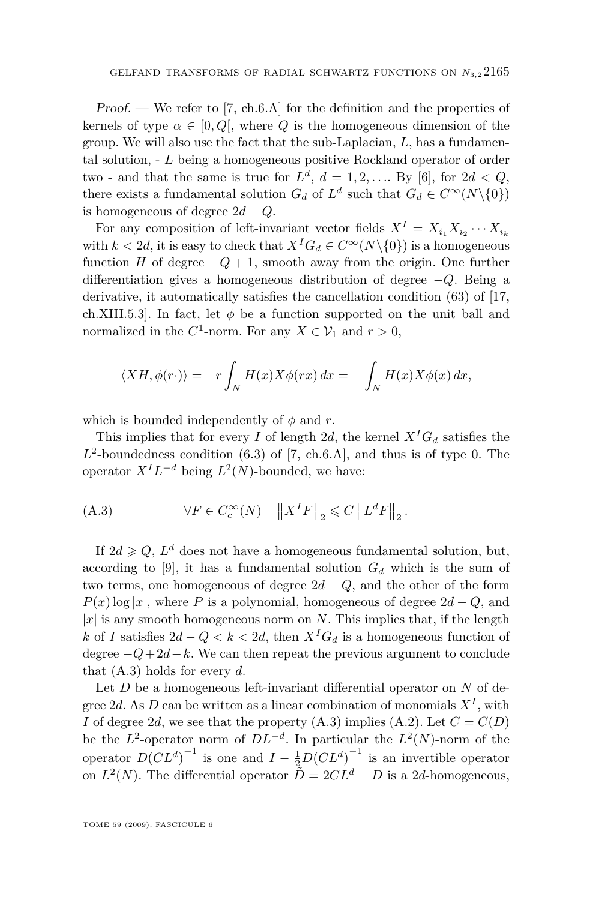Proof. — We refer to [\[7,](#page-26-0) ch.6.A] for the definition and the properties of kernels of type  $\alpha \in [0, Q]$ , where Q is the homogeneous dimension of the group. We will also use the fact that the sub-Laplacian, *L*, has a fundamental solution, - *L* being a homogeneous positive Rockland operator of order two - and that the same is true for  $L^d$ ,  $d = 1, 2, \ldots$  By [\[6\]](#page-26-0), for  $2d < Q$ , there exists a fundamental solution  $G_d$  of  $L^d$  such that  $G_d \in C^\infty(N \setminus \{0\})$ is homogeneous of degree  $2d - Q$ .

For any composition of left-invariant vector fields  $X^I = X_{i_1} X_{i_2} \cdots X_{i_k}$ with  $k < 2d$ , it is easy to check that  $X^{I}G_{d} \in C^{\infty}(N \setminus \{0\})$  is a homogeneous function *H* of degree  $-Q+1$ , smooth away from the origin. One further differentiation gives a homogeneous distribution of degree *−Q*. Being a derivative, it automatically satisfies the cancellation condition (63) of [\[17,](#page-26-0) ch.XIII.5.3]. In fact, let  $\phi$  be a function supported on the unit ball and normalized in the  $C^1$ -norm. For any  $X \in \mathcal{V}_1$  and  $r > 0$ ,

$$
\langle XH, \phi(r \cdot) \rangle = -r \int_N H(x) X \phi(rx) \, dx = - \int_N H(x) X \phi(x) \, dx,
$$

which is bounded independently of  $\phi$  and  $r$ .

This implies that for every *I* of length 2*d*, the kernel  $X^{I}G_{d}$  satisfies the  $L^2$ -boundedness condition (6.3) of [\[7,](#page-26-0) ch.6.A], and thus is of type 0. The operator  $X^{I}L^{-d}$  being  $L^{2}(N)$ -bounded, we have:

(A.3) 
$$
\forall F \in C_c^{\infty}(N) \quad ||X^I F||_2 \leq C ||L^d F||_2.
$$

If  $2d \geqslant Q$ ,  $L^d$  does not have a homogeneous fundamental solution, but, according to [\[9\]](#page-26-0), it has a fundamental solution  $G_d$  which is the sum of two terms, one homogeneous of degree 2*d − Q*, and the other of the form  $P(x)$  log |*x*|, where *P* is a polynomial, homogeneous of degree 2*d* − *Q*, and  $|x|$  is any smooth homogeneous norm on *N*. This implies that, if the length *k* of *I* satisfies  $2d − Q < k < 2d$ , then  $X<sup>I</sup>G<sub>d</sub>$  is a homogeneous function of degree *−Q*+ 2*d−k*. We can then repeat the previous argument to conclude that (A.3) holds for every *d*.

Let *D* be a homogeneous left-invariant differential operator on *N* of degree 2*d*. As *D* can be written as a linear combination of monomials  $X^I$ , with *I* of degree 2*d*, we see that the property (A.3) implies [\(A.2\)](#page-22-0). Let  $C = C(D)$ be the  $L^2$ -operator norm of  $DL^{-d}$ . In particular the  $L^2(N)$ -norm of the operator  $D(CL^d)^{-1}$  is one and  $I - \frac{1}{2}D(CL^d)^{-1}$  is an invertible operator on  $L^2(N)$ . The differential operator  $\tilde{D} = 2CL^d - D$  is a 2*d*-homogeneous,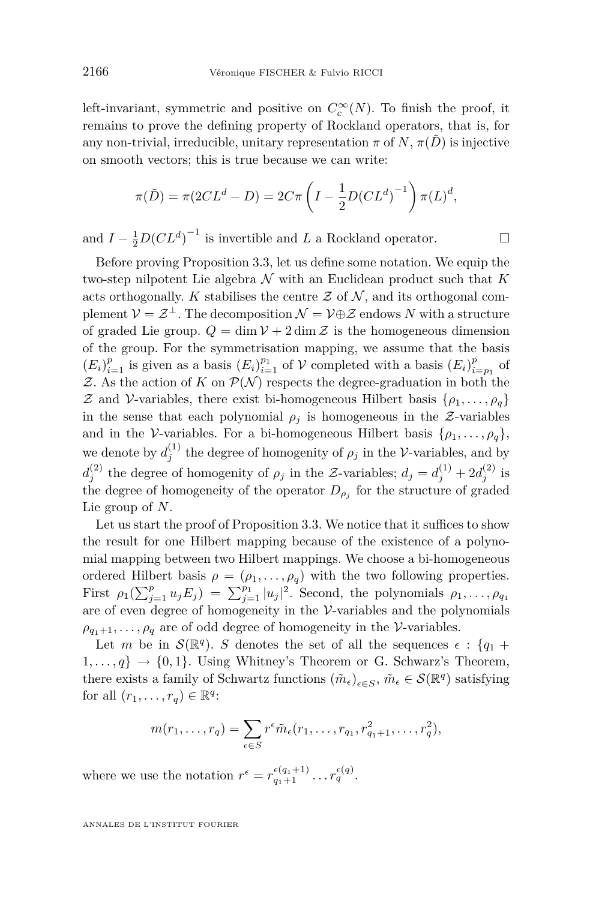left-invariant, symmetric and positive on  $C_c^{\infty}(N)$ . To finish the proof, it remains to prove the defining property of Rockland operators, that is, for any non-trivial, irreducible, unitary representation  $\pi$  of  $N$ ,  $\pi(\tilde{D})$  is injective on smooth vectors; this is true because we can write:

$$
\pi(\tilde{D}) = \pi(2CL^d - D) = 2C\pi \left( I - \frac{1}{2}D(CL^d)^{-1} \right) \pi(L)^d,
$$

and  $I - \frac{1}{2}D(CL^d)^{-1}$  is invertible and *L* a Rockland operator.

Before proving Proposition [3.3,](#page-8-0) let us define some notation. We equip the two-step nilpotent Lie algebra  $N$  with an Euclidean product such that  $K$ acts orthogonally. *K* stabilises the centre  $Z$  of  $N$ , and its orthogonal com- $\mathcal{V} = \mathcal{Z}^\perp$ . The decomposition  $\mathcal{N} = \mathcal{V} \oplus \mathcal{Z}$  endows  $N$  with a structure of graded Lie group.  $Q = \dim V + 2 \dim Z$  is the homogeneous dimension of the group. For the symmetrisation mapping, we assume that the basis  $(E_i)_{i=1}^p$  is given as a basis  $(E_i)_{i=1}^{p_1}$  of  $V$  completed with a basis  $(E_i)_{i=p_1}^p$  of  $Z$ . As the action of  $K$  on  $\mathcal{P}(\mathcal{N})$  respects the degree-graduation in both the *Z* and *V*-variables, there exist bi-homogeneous Hilbert basis  $\{\rho_1, \ldots, \rho_q\}$ in the sense that each polynomial  $\rho_j$  is homogeneous in the *Z*-variables and in the *V*-variables. For a bi-homogeneous Hilbert basis  $\{\rho_1, \ldots, \rho_q\}$ , we denote by  $d_j^{(1)}$  the degree of homogenity of  $\rho_j$  in the *V*-variables, and by  $d_j^{(2)}$  the degree of homogenity of  $\rho_j$  in the *Z*-variables;  $d_j = d_j^{(1)} + 2d_j^{(2)}$  is the degree of homogeneity of the operator  $D_{\rho_j}$  for the structure of graded Lie group of *N*.

Let us start the proof of Proposition [3.3.](#page-8-0) We notice that it suffices to show the result for one Hilbert mapping because of the existence of a polynomial mapping between two Hilbert mappings. We choose a bi-homogeneous ordered Hilbert basis  $\rho = (\rho_1, \ldots, \rho_q)$  with the two following properties. First  $\rho_1(\sum_{j=1}^p u_j E_j) = \sum_{j=1}^{p_1} |u_j|^2$ . Second, the polynomials  $\rho_1, \ldots, \rho_{q_1}$ are of even degree of homogeneity in the *V*-variables and the polynomials  $\rho_{q_1+1}, \ldots, \rho_q$  are of odd degree of homogeneity in the *V*-variables.

Let *m* be in  $\mathcal{S}(\mathbb{R}^q)$ . *S* denotes the set of all the sequences  $\epsilon$  :  $\{q_1 + \epsilon\}$  $1, \ldots, q$   $\rightarrow$  {0,1}. Using Whitney's Theorem or G. Schwarz's Theorem, there exists a family of Schwartz functions  $(\tilde{m}_{\epsilon})_{\epsilon \in S}$ ,  $\tilde{m}_{\epsilon} \in \mathcal{S}(\mathbb{R}^q)$  satisfying for all  $(r_1, \ldots, r_q) \in \mathbb{R}^q$ :

$$
m(r_1,\ldots,r_q)=\sum_{\epsilon\in S}r^{\epsilon}\tilde{m}_{\epsilon}(r_1,\ldots,r_{q_1},r_{q_1+1}^2,\ldots,r_q^2),
$$

where we use the notation  $r^{\epsilon} = r^{\epsilon(q_1+1)}_{q_1+1} \dots r^{\epsilon(q)}_{q}$ .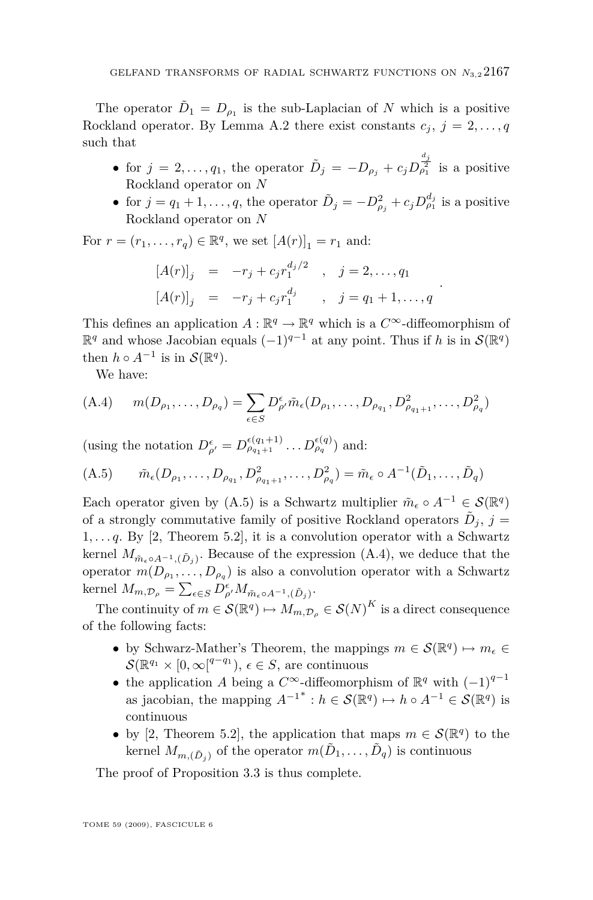The operator  $\tilde{D}_1 = D_{\rho_1}$  is the sub-Laplacian of *N* which is a positive Rockland operator. By Lemma [A.2](#page-22-0) there exist constants  $c_j$ ,  $j = 2, \ldots, q$ such that

- for  $j = 2, ..., q_1$ , the operator  $\tilde{D}_j = -D_{\rho_j} + c_j D_{\rho_1}^{\frac{d_j}{2}}$  is a positive Rockland operator on *N*
- for  $j = q_1 + 1, \ldots, q$ , the operator  $\tilde{D}_j = -D_{\rho_j}^2 + c_j D_{\rho_1}^{d_j}$  is a positive Rockland operator on *N*

*.*

For  $r = (r_1, ..., r_q) \in \mathbb{R}^q$ , we set  $[A(r)]_1 = r_1$  and:

$$
[A(r)]_j = -r_j + c_j r_1^{d_j/2} , j = 2,..., q_1
$$
  
\n
$$
[A(r)]_j = -r_j + c_j r_1^{d_j} , j = q_1 + 1,..., q
$$

This defines an application  $A : \mathbb{R}^q \to \mathbb{R}^q$  which is a  $C^{\infty}$ -diffeomorphism of  $\mathbb{R}^q$  and whose Jacobian equals  $(-1)^{q-1}$  at any point. Thus if *h* is in  $\mathcal{S}(\mathbb{R}^q)$ then  $h \circ A^{-1}$  is in  $\mathcal{S}(\mathbb{R}^q)$ .

We have:

(A.4) 
$$
m(D_{\rho_1}, \ldots, D_{\rho_q}) = \sum_{\epsilon \in S} D_{\rho'}^{\epsilon} \tilde{m}_{\epsilon}(D_{\rho_1}, \ldots, D_{\rho_{q_1}}, D_{\rho_{q_1+1}}^2, \ldots, D_{\rho_q}^2)
$$

(using the notation  $D_{\rho'}^{\epsilon} = D_{\rho_{q_1+1}}^{\epsilon(q_1+1)} \dots D_{\rho_q}^{\epsilon(q)}$ ) and:

(A.5) 
$$
\tilde{m}_{\epsilon}(D_{\rho_1},...,D_{\rho_{q_1}},D^2_{\rho_{q_1+1}},...,D^2_{\rho_q}) = \tilde{m}_{\epsilon} \circ A^{-1}(\tilde{D}_1,...,\tilde{D}_q)
$$

Each operator given by  $(A.5)$  is a Schwartz multiplier  $\tilde{m}_{\epsilon} \circ A^{-1} \in \mathcal{S}(\mathbb{R}^q)$ of a strongly commutative family of positive Rockland operators  $\tilde{D}_j$ ,  $j =$ 1*, . . . q*. By [\[2,](#page-26-0) Theorem 5.2], it is a convolution operator with a Schwartz kernel  $M_{\tilde{m}_{\varepsilon} \circ A^{-1}, (\tilde{D}_j)}$ . Because of the expression (A.4), we deduce that the operator  $m(D_{\rho_1},...,D_{\rho_q})$  is also a convolution operator with a Schwartz  $\text{kernel } M_{m,\mathcal{D}_{\rho}} = \sum_{\epsilon \in S} D_{\rho'}^{\epsilon} M_{\tilde{m}_{\epsilon} \circ A^{-1},(\tilde{D}_{j})}.$ 

The continuity of  $m \in \mathcal{S}(\mathbb{R}^q) \mapsto M_{m,\mathcal{D}_\rho} \in \mathcal{S}(N)^K$  is a direct consequence of the following facts:

- by Schwarz-Mather's Theorem, the mappings  $m \in \mathcal{S}(\mathbb{R}^q) \mapsto m_{\epsilon} \in$  $\mathcal{S}(\mathbb{R}^{q_1} \times [0, \infty^{q-q_1}), \epsilon \in S$ , are continuous
- the application *A* being a  $C^{\infty}$ -diffeomorphism of  $\mathbb{R}^{q}$  with  $(-1)^{q-1}$ as jacobian, the mapping  $A^{-1}^* : h \in \mathcal{S}(\mathbb{R}^q) \mapsto h \circ A^{-1} \in \mathcal{S}(\mathbb{R}^q)$  is continuous
- by [\[2,](#page-26-0) Theorem 5.2], the application that maps  $m \in \mathcal{S}(\mathbb{R}^q)$  to the kernel  $M_{m,(\tilde{D}_j)}$  of the operator  $m(\tilde{D}_1, \ldots, \tilde{D}_q)$  is continuous

The proof of Proposition [3.3](#page-8-0) is thus complete.